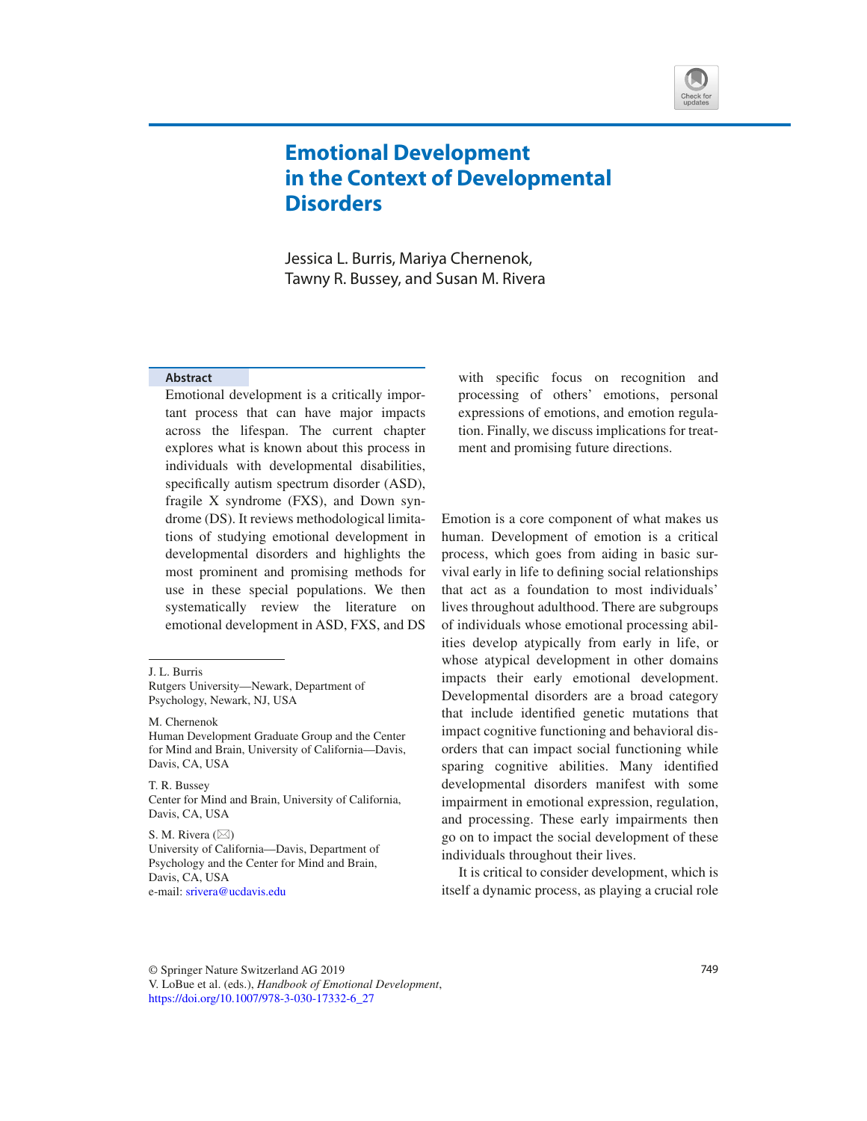

# **Emotional Development in the Context of Developmental Disorders**

Jessica L. Burris, Mariya Chernenok, Tawny R. Bussey, and Susan M. Rivera

## **Abstract**

Emotional development is a critically important process that can have major impacts across the lifespan. The current chapter explores what is known about this process in individuals with developmental disabilities, specifically autism spectrum disorder (ASD), fragile X syndrome (FXS), and Down syndrome (DS). It reviews methodological limitations of studying emotional development in developmental disorders and highlights the most prominent and promising methods for use in these special populations. We then systematically review the literature on emotional development in ASD, FXS, and DS

#### J. L. Burris

Rutgers University—Newark, Department of Psychology, Newark, NJ, USA

M. Chernenok

Human Development Graduate Group and the Center for Mind and Brain, University of California—Davis, Davis, CA, USA

T. R. Bussey Center for Mind and Brain, University of California, Davis, CA, USA

S. M. Rivera  $(\boxtimes)$ University of California—Davis, Department of Psychology and the Center for Mind and Brain, Davis, CA, USA e-mail[: srivera@ucdavis.edu](mailto:srivera@ucdavis.edu)

with specifc focus on recognition and processing of others' emotions, personal expressions of emotions, and emotion regulation. Finally, we discuss implications for treatment and promising future directions.

Emotion is a core component of what makes us human. Development of emotion is a critical process, which goes from aiding in basic survival early in life to defning social relationships that act as a foundation to most individuals' lives throughout adulthood. There are subgroups of individuals whose emotional processing abilities develop atypically from early in life, or whose atypical development in other domains impacts their early emotional development. Developmental disorders are a broad category that include identifed genetic mutations that impact cognitive functioning and behavioral disorders that can impact social functioning while sparing cognitive abilities. Many identifed developmental disorders manifest with some impairment in emotional expression, regulation, and processing. These early impairments then go on to impact the social development of these individuals throughout their lives.

It is critical to consider development, which is itself a dynamic process, as playing a crucial role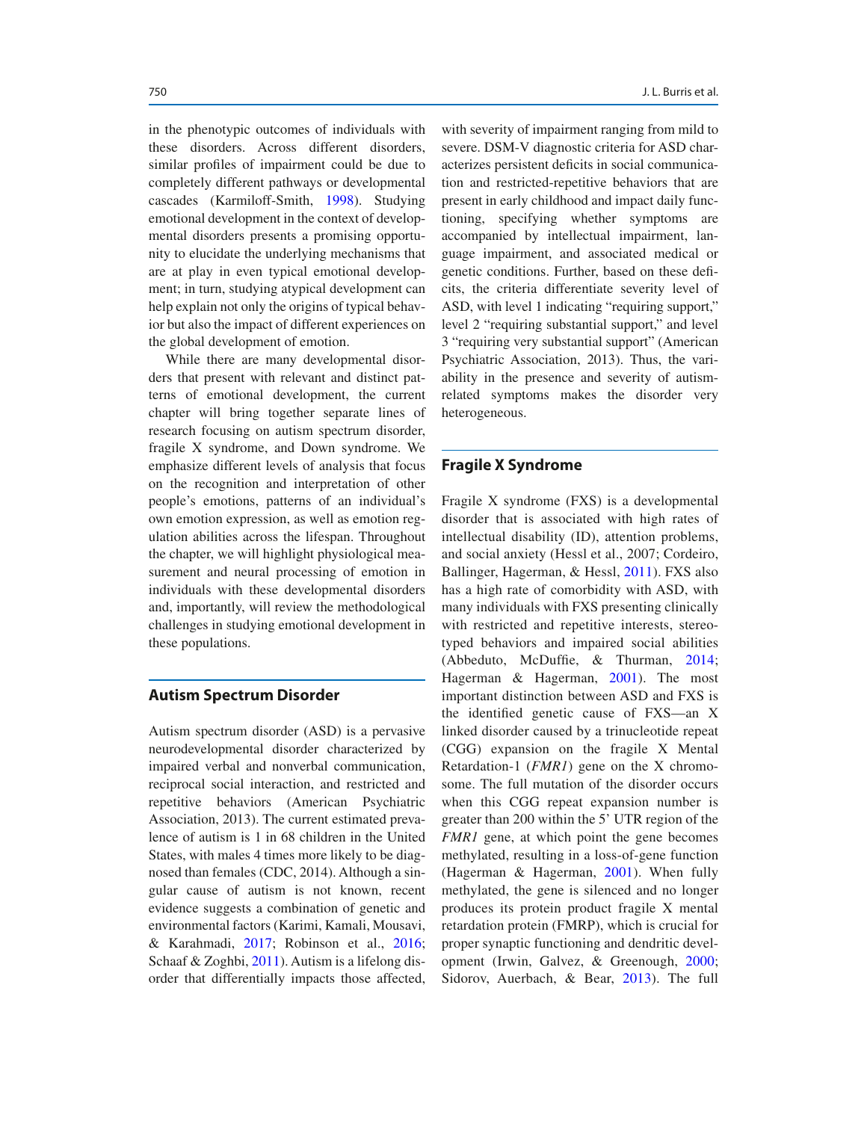in the phenotypic outcomes of individuals with these disorders. Across different disorders, similar profles of impairment could be due to completely different pathways or developmental cascades (Karmiloff-Smith, 1998). Studying emotional development in the context of developmental disorders presents a promising opportunity to elucidate the underlying mechanisms that are at play in even typical emotional development; in turn, studying atypical development can help explain not only the origins of typical behavior but also the impact of different experiences on the global development of emotion.

While there are many developmental disorders that present with relevant and distinct patterns of emotional development, the current chapter will bring together separate lines of research focusing on autism spectrum disorder, fragile X syndrome, and Down syndrome. We emphasize different levels of analysis that focus on the recognition and interpretation of other people's emotions, patterns of an individual's own emotion expression, as well as emotion regulation abilities across the lifespan. Throughout the chapter, we will highlight physiological measurement and neural processing of emotion in individuals with these developmental disorders and, importantly, will review the methodological challenges in studying emotional development in these populations.

#### **Autism Spectrum Disorder**

Autism spectrum disorder (ASD) is a pervasive neurodevelopmental disorder characterized by impaired verbal and nonverbal communication, reciprocal social interaction, and restricted and repetitive behaviors (American Psychiatric Association, 2013). The current estimated prevalence of autism is 1 in 68 children in the United States, with males 4 times more likely to be diagnosed than females (CDC, 2014). Although a singular cause of autism is not known, recent evidence suggests a combination of genetic and environmental factors (Karimi, Kamali, Mousavi, & Karahmadi, 2017; Robinson et al., 2016; Schaaf & Zoghbi, 2011). Autism is a lifelong disorder that differentially impacts those affected,

with severity of impairment ranging from mild to severe. DSM-V diagnostic criteria for ASD characterizes persistent deficits in social communication and restricted-repetitive behaviors that are present in early childhood and impact daily functioning, specifying whether symptoms are accompanied by intellectual impairment, language impairment, and associated medical or genetic conditions. Further, based on these defcits, the criteria differentiate severity level of ASD, with level 1 indicating "requiring support," level 2 "requiring substantial support," and level 3 "requiring very substantial support" (American Psychiatric Association, 2013). Thus, the variability in the presence and severity of autismrelated symptoms makes the disorder very heterogeneous.

#### **Fragile X Syndrome**

Fragile X syndrome (FXS) is a developmental disorder that is associated with high rates of intellectual disability (ID), attention problems, and social anxiety (Hessl et al., 2007; Cordeiro, Ballinger, Hagerman, & Hessl, 2011). FXS also has a high rate of comorbidity with ASD, with many individuals with FXS presenting clinically with restricted and repetitive interests, stereotyped behaviors and impaired social abilities (Abbeduto, McDuffe, & Thurman, 2014; Hagerman & Hagerman, 2001). The most important distinction between ASD and FXS is the identifed genetic cause of FXS—an X linked disorder caused by a trinucleotide repeat (CGG) expansion on the fragile X Mental Retardation-1 (*FMR1*) gene on the X chromosome. The full mutation of the disorder occurs when this CGG repeat expansion number is greater than 200 within the 5' UTR region of the *FMR1* gene, at which point the gene becomes methylated, resulting in a loss-of-gene function (Hagerman & Hagerman, 2001). When fully methylated, the gene is silenced and no longer produces its protein product fragile X mental retardation protein (FMRP), which is crucial for proper synaptic functioning and dendritic development (Irwin, Galvez, & Greenough, 2000; Sidorov, Auerbach, & Bear, 2013). The full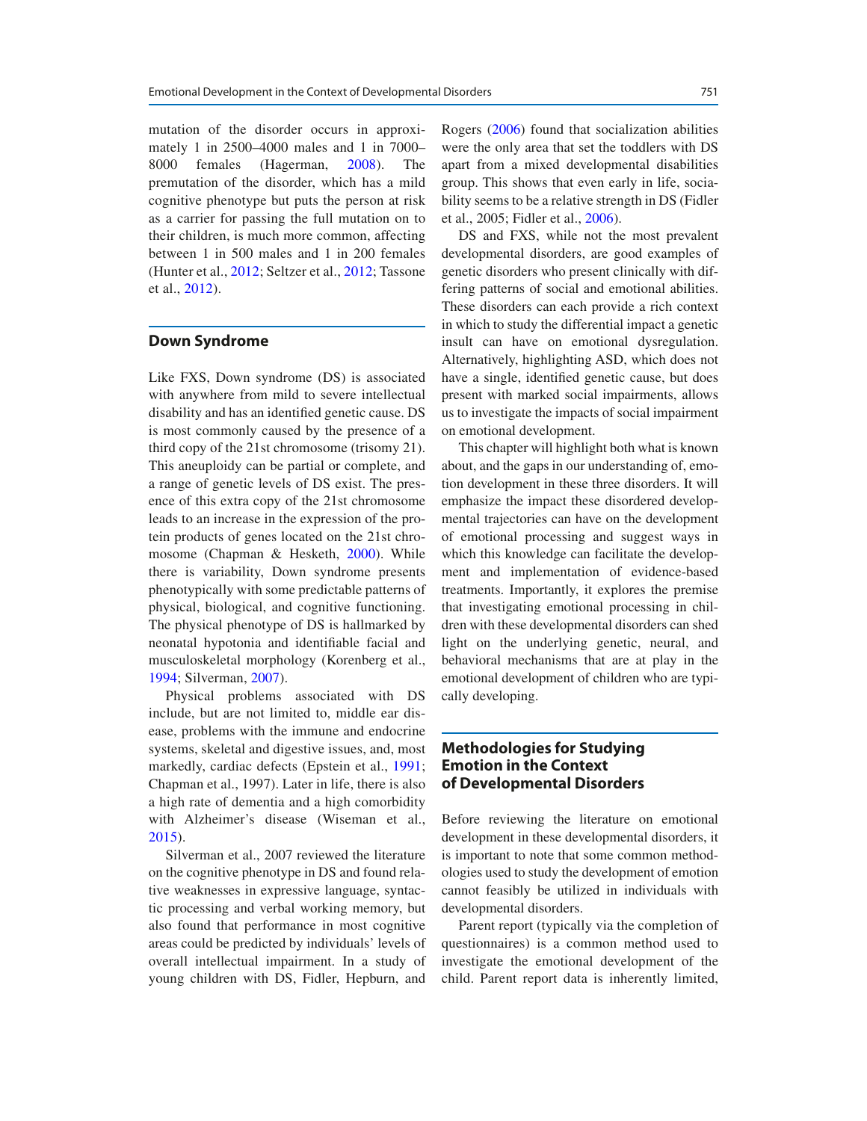mutation of the disorder occurs in approximately 1 in 2500–4000 males and 1 in 7000– 8000 females (Hagerman, 2008). The premutation of the disorder, which has a mild cognitive phenotype but puts the person at risk as a carrier for passing the full mutation on to their children, is much more common, affecting between 1 in 500 males and 1 in 200 females (Hunter et al., 2012; Seltzer et al., 2012; Tassone et al., 2012).

#### **Down Syndrome**

Like FXS, Down syndrome (DS) is associated with anywhere from mild to severe intellectual disability and has an identifed genetic cause. DS is most commonly caused by the presence of a third copy of the 21st chromosome (trisomy 21). This aneuploidy can be partial or complete, and a range of genetic levels of DS exist. The presence of this extra copy of the 21st chromosome leads to an increase in the expression of the protein products of genes located on the 21st chromosome (Chapman & Hesketh, 2000). While there is variability, Down syndrome presents phenotypically with some predictable patterns of physical, biological, and cognitive functioning. The physical phenotype of DS is hallmarked by neonatal hypotonia and identifable facial and musculoskeletal morphology (Korenberg et al., 1994; Silverman, 2007).

Physical problems associated with DS include, but are not limited to, middle ear disease, problems with the immune and endocrine systems, skeletal and digestive issues, and, most markedly, cardiac defects (Epstein et al., 1991; Chapman et al., 1997). Later in life, there is also a high rate of dementia and a high comorbidity with Alzheimer's disease (Wiseman et al., 2015).

Silverman et al., 2007 reviewed the literature on the cognitive phenotype in DS and found relative weaknesses in expressive language, syntactic processing and verbal working memory, but also found that performance in most cognitive areas could be predicted by individuals' levels of overall intellectual impairment. In a study of young children with DS, Fidler, Hepburn, and

Rogers (2006) found that socialization abilities were the only area that set the toddlers with DS apart from a mixed developmental disabilities group. This shows that even early in life, sociability seems to be a relative strength in DS (Fidler et al., 2005; Fidler et al., 2006).

DS and FXS, while not the most prevalent developmental disorders, are good examples of genetic disorders who present clinically with differing patterns of social and emotional abilities. These disorders can each provide a rich context in which to study the differential impact a genetic insult can have on emotional dysregulation. Alternatively, highlighting ASD, which does not have a single, identifed genetic cause, but does present with marked social impairments, allows us to investigate the impacts of social impairment on emotional development.

This chapter will highlight both what is known about, and the gaps in our understanding of, emotion development in these three disorders. It will emphasize the impact these disordered developmental trajectories can have on the development of emotional processing and suggest ways in which this knowledge can facilitate the development and implementation of evidence-based treatments. Importantly, it explores the premise that investigating emotional processing in children with these developmental disorders can shed light on the underlying genetic, neural, and behavioral mechanisms that are at play in the emotional development of children who are typically developing.

# **Methodologies for Studying Emotion in the Context of Developmental Disorders**

Before reviewing the literature on emotional development in these developmental disorders, it is important to note that some common methodologies used to study the development of emotion cannot feasibly be utilized in individuals with developmental disorders.

Parent report (typically via the completion of questionnaires) is a common method used to investigate the emotional development of the child. Parent report data is inherently limited,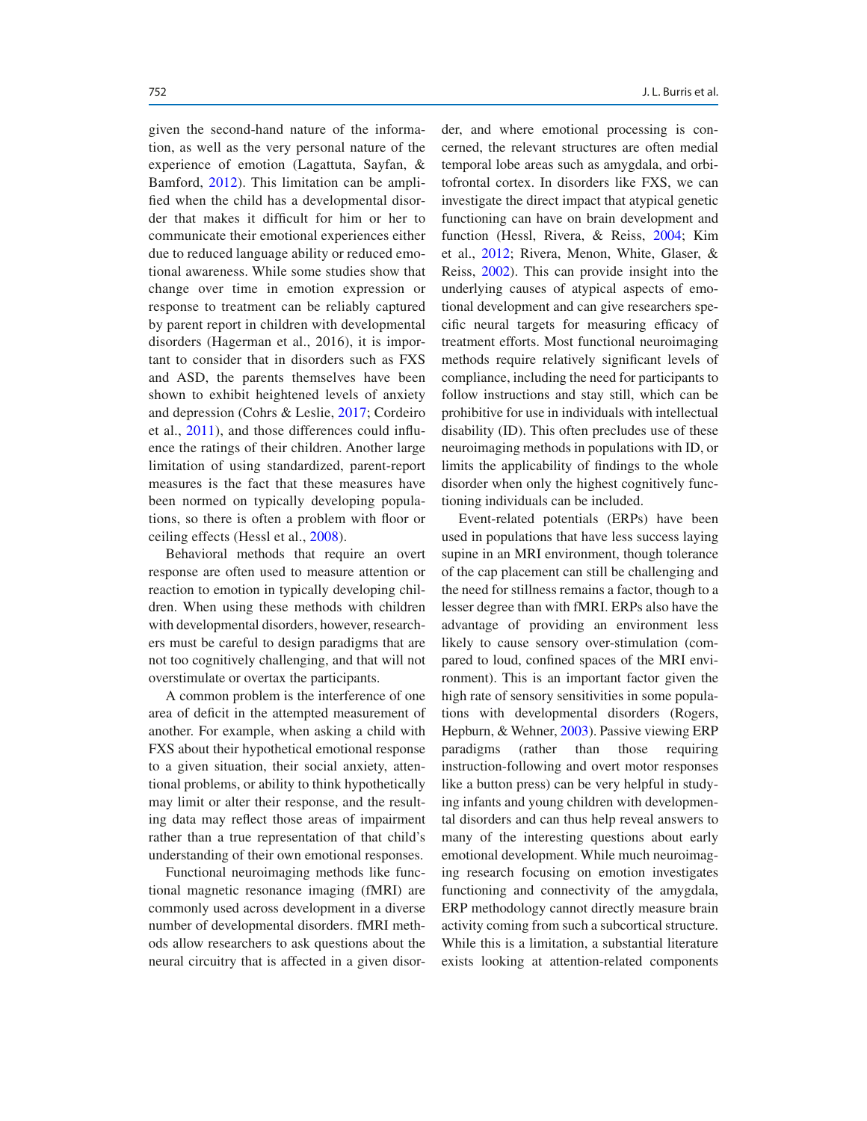given the second-hand nature of the information, as well as the very personal nature of the experience of emotion (Lagattuta, Sayfan, & Bamford, 2012). This limitation can be amplifed when the child has a developmental disorder that makes it diffcult for him or her to communicate their emotional experiences either due to reduced language ability or reduced emotional awareness. While some studies show that change over time in emotion expression or response to treatment can be reliably captured by parent report in children with developmental disorders (Hagerman et al., 2016), it is important to consider that in disorders such as FXS and ASD, the parents themselves have been shown to exhibit heightened levels of anxiety and depression (Cohrs & Leslie, 2017; Cordeiro et al., 2011), and those differences could infuence the ratings of their children. Another large limitation of using standardized, parent-report measures is the fact that these measures have been normed on typically developing populations, so there is often a problem with foor or ceiling effects (Hessl et al., 2008).

Behavioral methods that require an overt response are often used to measure attention or reaction to emotion in typically developing children. When using these methods with children with developmental disorders, however, researchers must be careful to design paradigms that are not too cognitively challenging, and that will not overstimulate or overtax the participants.

A common problem is the interference of one area of defcit in the attempted measurement of another. For example, when asking a child with FXS about their hypothetical emotional response to a given situation, their social anxiety, attentional problems, or ability to think hypothetically may limit or alter their response, and the resulting data may refect those areas of impairment rather than a true representation of that child's understanding of their own emotional responses.

Functional neuroimaging methods like functional magnetic resonance imaging (fMRI) are commonly used across development in a diverse number of developmental disorders. fMRI methods allow researchers to ask questions about the neural circuitry that is affected in a given disorder, and where emotional processing is concerned, the relevant structures are often medial temporal lobe areas such as amygdala, and orbitofrontal cortex. In disorders like FXS, we can investigate the direct impact that atypical genetic functioning can have on brain development and function (Hessl, Rivera, & Reiss, 2004; Kim et al., 2012; Rivera, Menon, White, Glaser, & Reiss, 2002). This can provide insight into the underlying causes of atypical aspects of emotional development and can give researchers specifc neural targets for measuring effcacy of treatment efforts. Most functional neuroimaging methods require relatively signifcant levels of compliance, including the need for participants to follow instructions and stay still, which can be prohibitive for use in individuals with intellectual disability (ID). This often precludes use of these neuroimaging methods in populations with ID, or limits the applicability of fndings to the whole disorder when only the highest cognitively functioning individuals can be included.

Event-related potentials (ERPs) have been used in populations that have less success laying supine in an MRI environment, though tolerance of the cap placement can still be challenging and the need for stillness remains a factor, though to a lesser degree than with fMRI. ERPs also have the advantage of providing an environment less likely to cause sensory over-stimulation (compared to loud, confned spaces of the MRI environment). This is an important factor given the high rate of sensory sensitivities in some populations with developmental disorders (Rogers, Hepburn, & Wehner, 2003). Passive viewing ERP paradigms (rather than those requiring instruction-following and overt motor responses like a button press) can be very helpful in studying infants and young children with developmental disorders and can thus help reveal answers to many of the interesting questions about early emotional development. While much neuroimaging research focusing on emotion investigates functioning and connectivity of the amygdala, ERP methodology cannot directly measure brain activity coming from such a subcortical structure. While this is a limitation, a substantial literature exists looking at attention-related components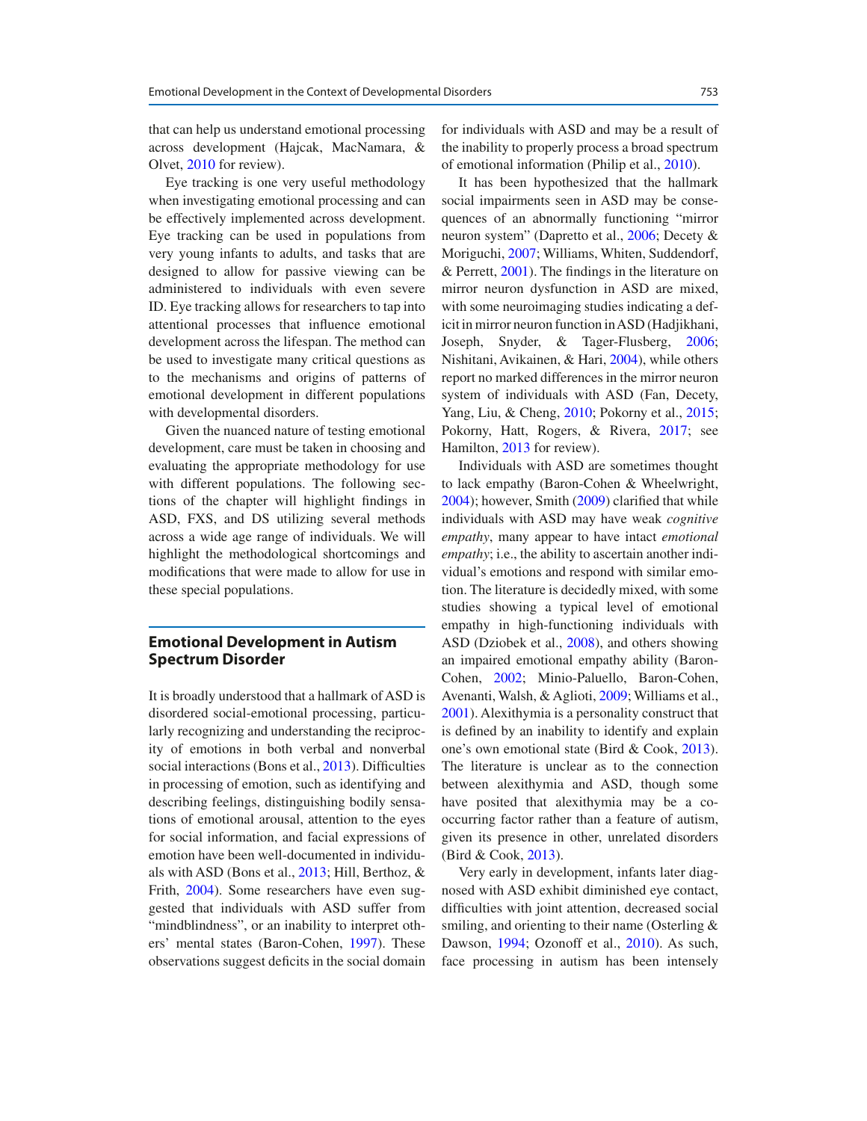that can help us understand emotional processing across development (Hajcak, MacNamara, & Olvet, 2010 for review).

Eye tracking is one very useful methodology when investigating emotional processing and can be effectively implemented across development. Eye tracking can be used in populations from very young infants to adults, and tasks that are designed to allow for passive viewing can be administered to individuals with even severe ID. Eye tracking allows for researchers to tap into attentional processes that infuence emotional development across the lifespan. The method can be used to investigate many critical questions as to the mechanisms and origins of patterns of emotional development in different populations with developmental disorders.

Given the nuanced nature of testing emotional development, care must be taken in choosing and evaluating the appropriate methodology for use with different populations. The following sections of the chapter will highlight fndings in ASD, FXS, and DS utilizing several methods across a wide age range of individuals. We will highlight the methodological shortcomings and modifcations that were made to allow for use in these special populations.

# **Emotional Development in Autism Spectrum Disorder**

It is broadly understood that a hallmark of ASD is disordered social-emotional processing, particularly recognizing and understanding the reciprocity of emotions in both verbal and nonverbal social interactions (Bons et al., 2013). Difficulties in processing of emotion, such as identifying and describing feelings, distinguishing bodily sensations of emotional arousal, attention to the eyes for social information, and facial expressions of emotion have been well-documented in individuals with ASD (Bons et al., 2013; Hill, Berthoz, & Frith, 2004). Some researchers have even suggested that individuals with ASD suffer from "mindblindness", or an inability to interpret others' mental states (Baron-Cohen, 1997). These observations suggest defcits in the social domain

for individuals with ASD and may be a result of the inability to properly process a broad spectrum of emotional information (Philip et al., 2010).

It has been hypothesized that the hallmark social impairments seen in ASD may be consequences of an abnormally functioning "mirror neuron system" (Dapretto et al., 2006; Decety & Moriguchi, 2007; Williams, Whiten, Suddendorf, & Perrett, 2001). The fndings in the literature on mirror neuron dysfunction in ASD are mixed, with some neuroimaging studies indicating a deficit in mirror neuron function in ASD (Hadjikhani, Joseph, Snyder, & Tager-Flusberg, 2006; Nishitani, Avikainen, & Hari, 2004), while others report no marked differences in the mirror neuron system of individuals with ASD (Fan, Decety, Yang, Liu, & Cheng, 2010; Pokorny et al., 2015; Pokorny, Hatt, Rogers, & Rivera, 2017; see Hamilton, 2013 for review).

Individuals with ASD are sometimes thought to lack empathy (Baron-Cohen & Wheelwright, 2004); however, Smith (2009) clarifed that while individuals with ASD may have weak *cognitive empathy*, many appear to have intact *emotional empathy*; i.e., the ability to ascertain another individual's emotions and respond with similar emotion. The literature is decidedly mixed, with some studies showing a typical level of emotional empathy in high-functioning individuals with ASD (Dziobek et al., 2008), and others showing an impaired emotional empathy ability (Baron-Cohen, 2002; Minio-Paluello, Baron-Cohen, Avenanti, Walsh, & Aglioti, 2009; Williams et al., 2001). Alexithymia is a personality construct that is defned by an inability to identify and explain one's own emotional state (Bird & Cook, 2013). The literature is unclear as to the connection between alexithymia and ASD, though some have posited that alexithymia may be a cooccurring factor rather than a feature of autism, given its presence in other, unrelated disorders (Bird & Cook, 2013).

Very early in development, infants later diagnosed with ASD exhibit diminished eye contact, diffculties with joint attention, decreased social smiling, and orienting to their name (Osterling & Dawson, 1994; Ozonoff et al., 2010). As such, face processing in autism has been intensely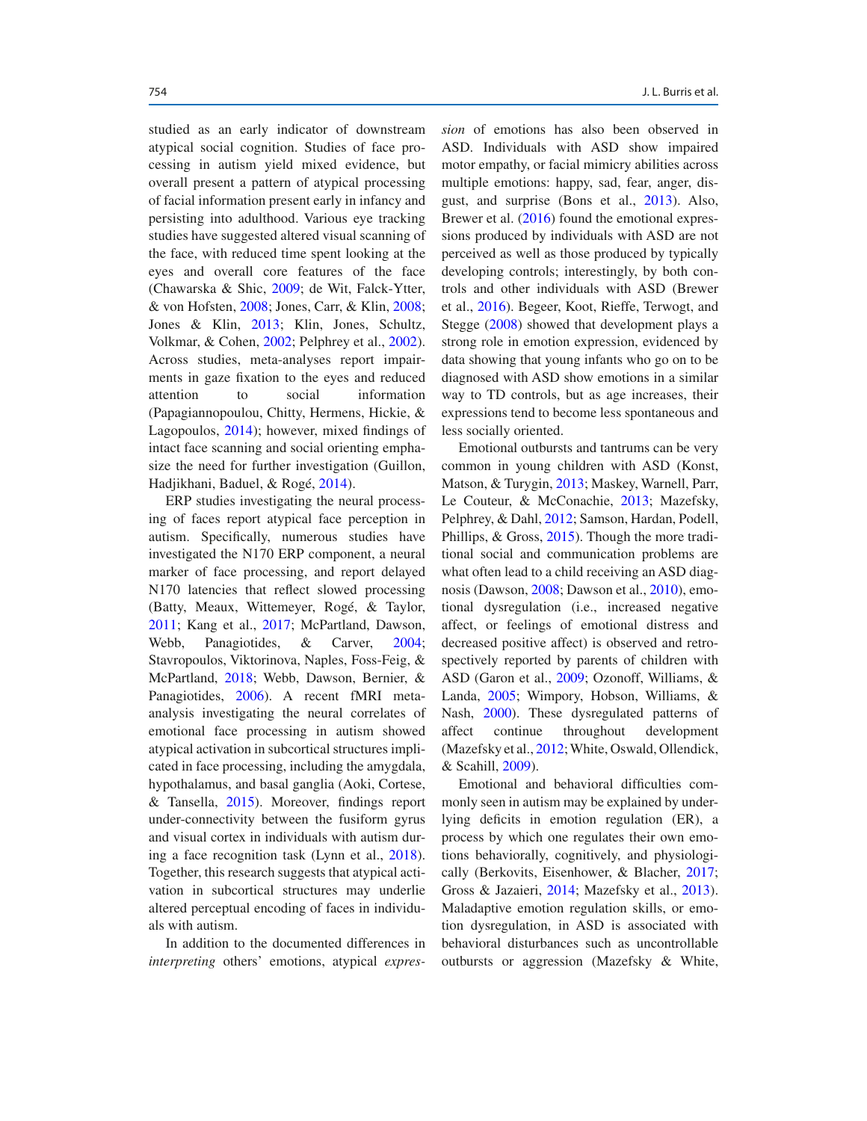studied as an early indicator of downstream atypical social cognition. Studies of face processing in autism yield mixed evidence, but overall present a pattern of atypical processing of facial information present early in infancy and persisting into adulthood. Various eye tracking studies have suggested altered visual scanning of the face, with reduced time spent looking at the eyes and overall core features of the face (Chawarska & Shic, 2009; de Wit, Falck-Ytter, & von Hofsten, 2008; Jones, Carr, & Klin, 2008; Jones & Klin, 2013; Klin, Jones, Schultz, Volkmar, & Cohen, 2002; Pelphrey et al., 2002). Across studies, meta-analyses report impairments in gaze fxation to the eyes and reduced attention to social information (Papagiannopoulou, Chitty, Hermens, Hickie, & Lagopoulos, 2014); however, mixed fndings of intact face scanning and social orienting emphasize the need for further investigation (Guillon, Hadjikhani, Baduel, & Rogé, 2014).

ERP studies investigating the neural processing of faces report atypical face perception in autism. Specifcally, numerous studies have investigated the N170 ERP component, a neural marker of face processing, and report delayed N170 latencies that refect slowed processing (Batty, Meaux, Wittemeyer, Rogé, & Taylor, 2011; Kang et al., 2017; McPartland, Dawson, Webb, Panagiotides, & Carver, 2004; Stavropoulos, Viktorinova, Naples, Foss-Feig, & McPartland, 2018; Webb, Dawson, Bernier, & Panagiotides, 2006). A recent fMRI metaanalysis investigating the neural correlates of emotional face processing in autism showed atypical activation in subcortical structures implicated in face processing, including the amygdala, hypothalamus, and basal ganglia (Aoki, Cortese, & Tansella, 2015). Moreover, fndings report under-connectivity between the fusiform gyrus and visual cortex in individuals with autism during a face recognition task (Lynn et al., 2018). Together, this research suggests that atypical activation in subcortical structures may underlie altered perceptual encoding of faces in individuals with autism.

In addition to the documented differences in *interpreting* others' emotions, atypical *expres-* J. L. Burris et al.

*sion* of emotions has also been observed in ASD. Individuals with ASD show impaired motor empathy, or facial mimicry abilities across multiple emotions: happy, sad, fear, anger, disgust, and surprise (Bons et al., 2013). Also, Brewer et al. (2016) found the emotional expressions produced by individuals with ASD are not perceived as well as those produced by typically developing controls; interestingly, by both controls and other individuals with ASD (Brewer et al., 2016). Begeer, Koot, Rieffe, Terwogt, and Stegge (2008) showed that development plays a strong role in emotion expression, evidenced by data showing that young infants who go on to be diagnosed with ASD show emotions in a similar way to TD controls, but as age increases, their expressions tend to become less spontaneous and less socially oriented.

Emotional outbursts and tantrums can be very common in young children with ASD (Konst, Matson, & Turygin, 2013; Maskey, Warnell, Parr, Le Couteur, & McConachie, 2013; Mazefsky, Pelphrey, & Dahl, 2012; Samson, Hardan, Podell, Phillips, & Gross, 2015). Though the more traditional social and communication problems are what often lead to a child receiving an ASD diagnosis (Dawson, 2008; Dawson et al., 2010), emotional dysregulation (i.e., increased negative affect, or feelings of emotional distress and decreased positive affect) is observed and retrospectively reported by parents of children with ASD (Garon et al., 2009; Ozonoff, Williams, & Landa, 2005; Wimpory, Hobson, Williams, & Nash, 2000). These dysregulated patterns of affect continue throughout development (Mazefsky et al., 2012; White, Oswald, Ollendick, & Scahill, 2009).

Emotional and behavioral difficulties commonly seen in autism may be explained by underlying deficits in emotion regulation (ER), a process by which one regulates their own emotions behaviorally, cognitively, and physiologically (Berkovits, Eisenhower, & Blacher, 2017; Gross & Jazaieri, 2014; Mazefsky et al., 2013). Maladaptive emotion regulation skills, or emotion dysregulation, in ASD is associated with behavioral disturbances such as uncontrollable outbursts or aggression (Mazefsky & White,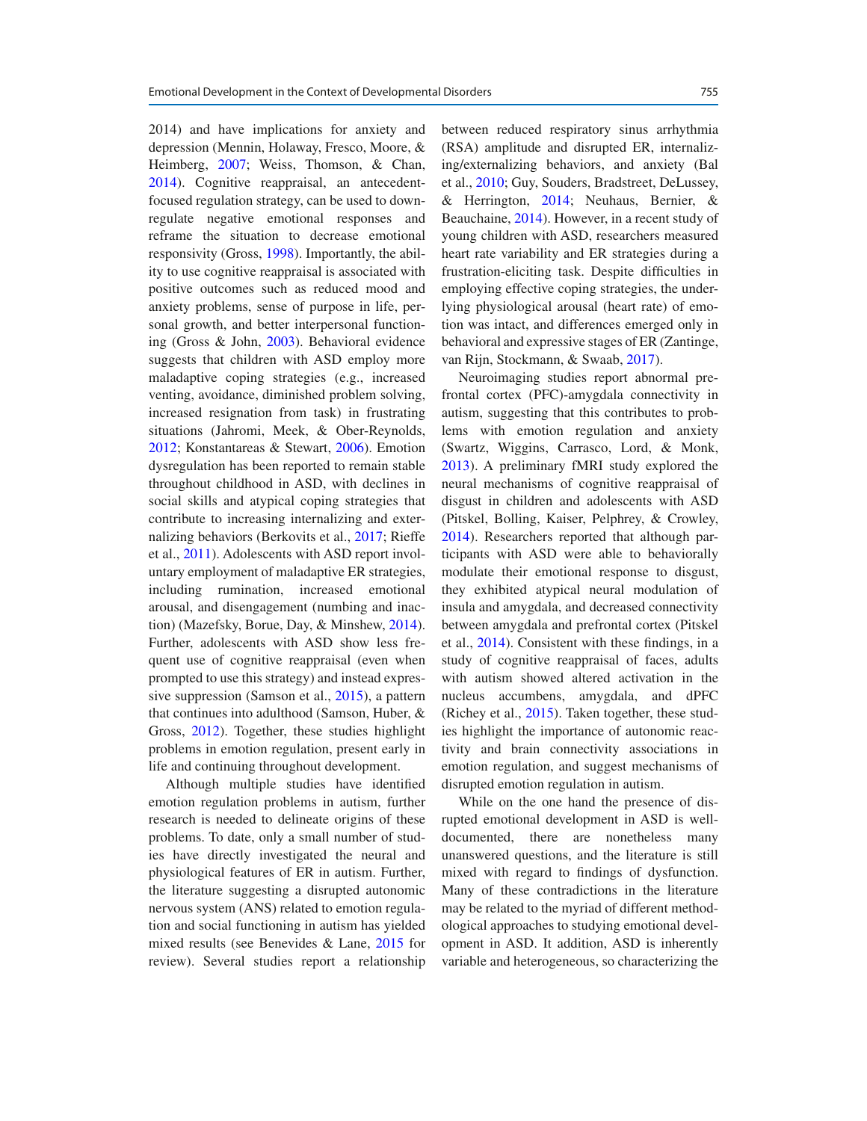2014) and have implications for anxiety and depression (Mennin, Holaway, Fresco, Moore, & Heimberg, 2007; Weiss, Thomson, & Chan, 2014). Cognitive reappraisal, an antecedentfocused regulation strategy, can be used to downregulate negative emotional responses and reframe the situation to decrease emotional responsivity (Gross, 1998). Importantly, the ability to use cognitive reappraisal is associated with positive outcomes such as reduced mood and anxiety problems, sense of purpose in life, personal growth, and better interpersonal functioning (Gross & John, 2003). Behavioral evidence suggests that children with ASD employ more maladaptive coping strategies (e.g., increased venting, avoidance, diminished problem solving, increased resignation from task) in frustrating situations (Jahromi, Meek, & Ober-Reynolds, 2012; Konstantareas & Stewart, 2006). Emotion dysregulation has been reported to remain stable throughout childhood in ASD, with declines in social skills and atypical coping strategies that contribute to increasing internalizing and externalizing behaviors (Berkovits et al., 2017; Rieffe et al., 2011). Adolescents with ASD report involuntary employment of maladaptive ER strategies, including rumination, increased emotional arousal, and disengagement (numbing and inaction) (Mazefsky, Borue, Day, & Minshew, 2014). Further, adolescents with ASD show less frequent use of cognitive reappraisal (even when prompted to use this strategy) and instead expressive suppression (Samson et al., 2015), a pattern that continues into adulthood (Samson, Huber, & Gross, 2012). Together, these studies highlight problems in emotion regulation, present early in life and continuing throughout development.

Although multiple studies have identifed emotion regulation problems in autism, further research is needed to delineate origins of these problems. To date, only a small number of studies have directly investigated the neural and physiological features of ER in autism. Further, the literature suggesting a disrupted autonomic nervous system (ANS) related to emotion regulation and social functioning in autism has yielded mixed results (see Benevides & Lane, 2015 for review). Several studies report a relationship

between reduced respiratory sinus arrhythmia (RSA) amplitude and disrupted ER, internalizing/externalizing behaviors, and anxiety (Bal et al., 2010; Guy, Souders, Bradstreet, DeLussey, & Herrington, 2014; Neuhaus, Bernier, & Beauchaine, 2014). However, in a recent study of young children with ASD, researchers measured heart rate variability and ER strategies during a frustration-eliciting task. Despite diffculties in employing effective coping strategies, the underlying physiological arousal (heart rate) of emotion was intact, and differences emerged only in behavioral and expressive stages of ER (Zantinge, van Rijn, Stockmann, & Swaab, 2017).

Neuroimaging studies report abnormal prefrontal cortex (PFC)-amygdala connectivity in autism, suggesting that this contributes to problems with emotion regulation and anxiety (Swartz, Wiggins, Carrasco, Lord, & Monk, 2013). A preliminary fMRI study explored the neural mechanisms of cognitive reappraisal of disgust in children and adolescents with ASD (Pitskel, Bolling, Kaiser, Pelphrey, & Crowley, 2014). Researchers reported that although participants with ASD were able to behaviorally modulate their emotional response to disgust, they exhibited atypical neural modulation of insula and amygdala, and decreased connectivity between amygdala and prefrontal cortex (Pitskel et al., 2014). Consistent with these fndings, in a study of cognitive reappraisal of faces, adults with autism showed altered activation in the nucleus accumbens, amygdala, and dPFC (Richey et al., 2015). Taken together, these studies highlight the importance of autonomic reactivity and brain connectivity associations in emotion regulation, and suggest mechanisms of disrupted emotion regulation in autism.

While on the one hand the presence of disrupted emotional development in ASD is welldocumented, there are nonetheless many unanswered questions, and the literature is still mixed with regard to fndings of dysfunction. Many of these contradictions in the literature may be related to the myriad of different methodological approaches to studying emotional development in ASD. It addition, ASD is inherently variable and heterogeneous, so characterizing the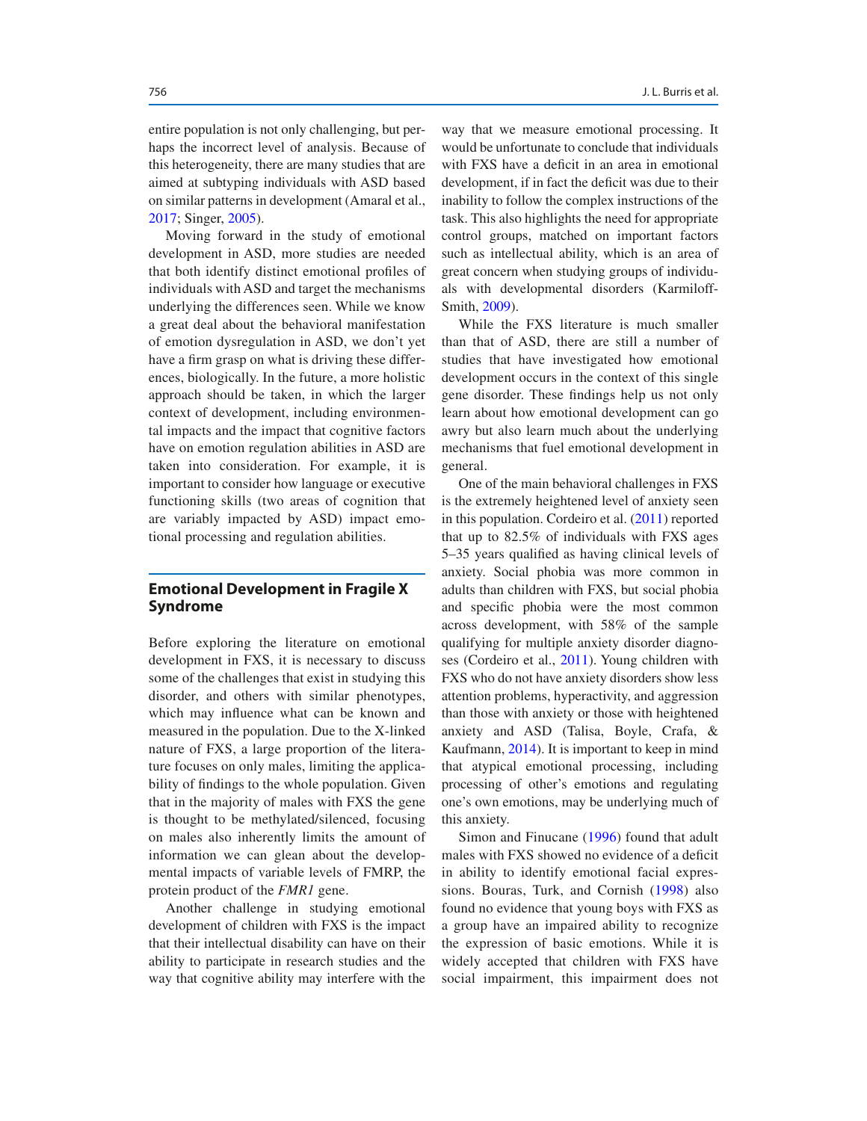entire population is not only challenging, but perhaps the incorrect level of analysis. Because of this heterogeneity, there are many studies that are aimed at subtyping individuals with ASD based on similar patterns in development (Amaral et al., 2017; Singer, 2005).

Moving forward in the study of emotional development in ASD, more studies are needed that both identify distinct emotional profles of individuals with ASD and target the mechanisms underlying the differences seen. While we know a great deal about the behavioral manifestation of emotion dysregulation in ASD, we don't yet have a frm grasp on what is driving these differences, biologically. In the future, a more holistic approach should be taken, in which the larger context of development, including environmental impacts and the impact that cognitive factors have on emotion regulation abilities in ASD are taken into consideration. For example, it is important to consider how language or executive functioning skills (two areas of cognition that are variably impacted by ASD) impact emotional processing and regulation abilities.

### **Emotional Development in Fragile X Syndrome**

Before exploring the literature on emotional development in FXS, it is necessary to discuss some of the challenges that exist in studying this disorder, and others with similar phenotypes, which may infuence what can be known and measured in the population. Due to the X-linked nature of FXS, a large proportion of the literature focuses on only males, limiting the applicability of fndings to the whole population. Given that in the majority of males with FXS the gene is thought to be methylated/silenced, focusing on males also inherently limits the amount of information we can glean about the developmental impacts of variable levels of FMRP, the protein product of the *FMR1* gene.

Another challenge in studying emotional development of children with FXS is the impact that their intellectual disability can have on their ability to participate in research studies and the way that cognitive ability may interfere with the

way that we measure emotional processing. It would be unfortunate to conclude that individuals with FXS have a deficit in an area in emotional development, if in fact the deficit was due to their inability to follow the complex instructions of the task. This also highlights the need for appropriate control groups, matched on important factors such as intellectual ability, which is an area of great concern when studying groups of individuals with developmental disorders (Karmiloff-Smith, 2009).

While the FXS literature is much smaller than that of ASD, there are still a number of studies that have investigated how emotional development occurs in the context of this single gene disorder. These fndings help us not only learn about how emotional development can go awry but also learn much about the underlying mechanisms that fuel emotional development in general.

One of the main behavioral challenges in FXS is the extremely heightened level of anxiety seen in this population. Cordeiro et al. (2011) reported that up to 82.5% of individuals with FXS ages 5–35 years qualifed as having clinical levels of anxiety. Social phobia was more common in adults than children with FXS, but social phobia and specifc phobia were the most common across development, with 58% of the sample qualifying for multiple anxiety disorder diagnoses (Cordeiro et al., 2011). Young children with FXS who do not have anxiety disorders show less attention problems, hyperactivity, and aggression than those with anxiety or those with heightened anxiety and ASD (Talisa, Boyle, Crafa, & Kaufmann, 2014). It is important to keep in mind that atypical emotional processing, including processing of other's emotions and regulating one's own emotions, may be underlying much of this anxiety.

Simon and Finucane (1996) found that adult males with FXS showed no evidence of a deficit in ability to identify emotional facial expressions. Bouras, Turk, and Cornish (1998) also found no evidence that young boys with FXS as a group have an impaired ability to recognize the expression of basic emotions. While it is widely accepted that children with FXS have social impairment, this impairment does not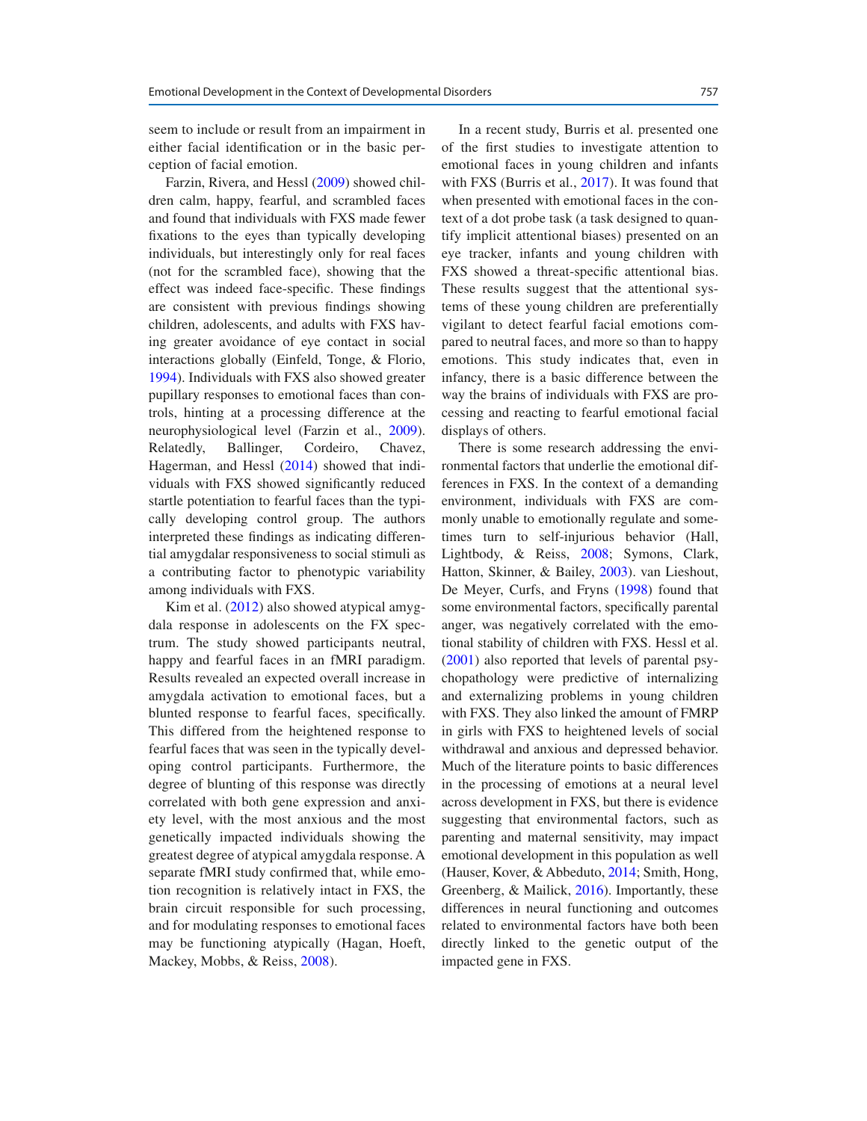seem to include or result from an impairment in either facial identifcation or in the basic perception of facial emotion.

Farzin, Rivera, and Hessl (2009) showed children calm, happy, fearful, and scrambled faces and found that individuals with FXS made fewer fxations to the eyes than typically developing individuals, but interestingly only for real faces (not for the scrambled face), showing that the effect was indeed face-specifc. These fndings are consistent with previous fndings showing children, adolescents, and adults with FXS having greater avoidance of eye contact in social interactions globally (Einfeld, Tonge, & Florio, 1994). Individuals with FXS also showed greater pupillary responses to emotional faces than controls, hinting at a processing difference at the neurophysiological level (Farzin et al., 2009). Relatedly, Ballinger, Cordeiro, Chavez, Hagerman, and Hessl (2014) showed that individuals with FXS showed signifcantly reduced startle potentiation to fearful faces than the typically developing control group. The authors interpreted these fndings as indicating differential amygdalar responsiveness to social stimuli as a contributing factor to phenotypic variability among individuals with FXS.

Kim et al. (2012) also showed atypical amygdala response in adolescents on the FX spectrum. The study showed participants neutral, happy and fearful faces in an fMRI paradigm. Results revealed an expected overall increase in amygdala activation to emotional faces, but a blunted response to fearful faces, specifcally. This differed from the heightened response to fearful faces that was seen in the typically developing control participants. Furthermore, the degree of blunting of this response was directly correlated with both gene expression and anxiety level, with the most anxious and the most genetically impacted individuals showing the greatest degree of atypical amygdala response. A separate fMRI study confrmed that, while emotion recognition is relatively intact in FXS, the brain circuit responsible for such processing, and for modulating responses to emotional faces may be functioning atypically (Hagan, Hoeft, Mackey, Mobbs, & Reiss, 2008).

In a recent study, Burris et al. presented one of the frst studies to investigate attention to emotional faces in young children and infants with FXS (Burris et al., 2017). It was found that when presented with emotional faces in the context of a dot probe task (a task designed to quantify implicit attentional biases) presented on an eye tracker, infants and young children with FXS showed a threat-specifc attentional bias. These results suggest that the attentional systems of these young children are preferentially vigilant to detect fearful facial emotions compared to neutral faces, and more so than to happy emotions. This study indicates that, even in infancy, there is a basic difference between the way the brains of individuals with FXS are processing and reacting to fearful emotional facial displays of others.

There is some research addressing the environmental factors that underlie the emotional differences in FXS. In the context of a demanding environment, individuals with FXS are commonly unable to emotionally regulate and sometimes turn to self-injurious behavior (Hall, Lightbody, & Reiss, 2008; Symons, Clark, Hatton, Skinner, & Bailey, 2003). van Lieshout, De Meyer, Curfs, and Fryns (1998) found that some environmental factors, specifcally parental anger, was negatively correlated with the emotional stability of children with FXS. Hessl et al. (2001) also reported that levels of parental psychopathology were predictive of internalizing and externalizing problems in young children with FXS. They also linked the amount of FMRP in girls with FXS to heightened levels of social withdrawal and anxious and depressed behavior. Much of the literature points to basic differences in the processing of emotions at a neural level across development in FXS, but there is evidence suggesting that environmental factors, such as parenting and maternal sensitivity, may impact emotional development in this population as well (Hauser, Kover, & Abbeduto, 2014; Smith, Hong, Greenberg, & Mailick, 2016). Importantly, these differences in neural functioning and outcomes related to environmental factors have both been directly linked to the genetic output of the impacted gene in FXS.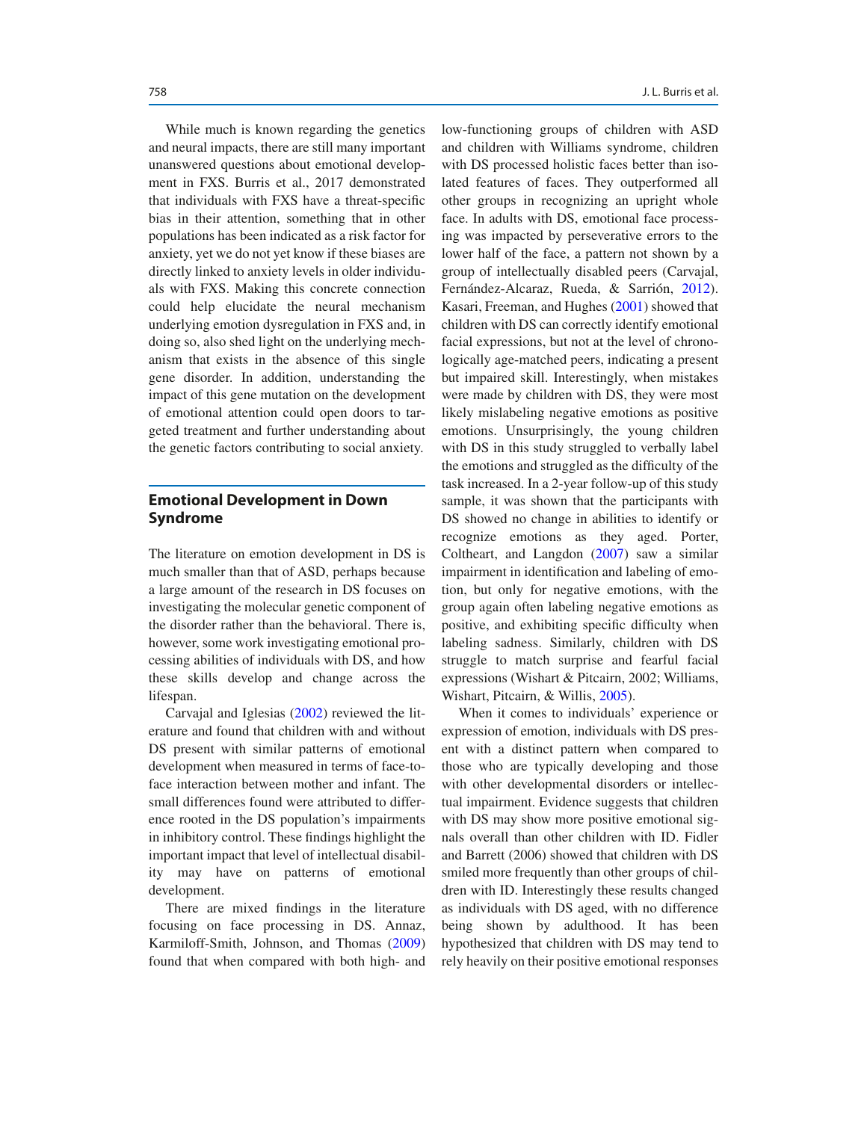While much is known regarding the genetics and neural impacts, there are still many important unanswered questions about emotional development in FXS. Burris et al., 2017 demonstrated that individuals with FXS have a threat-specifc bias in their attention, something that in other populations has been indicated as a risk factor for anxiety, yet we do not yet know if these biases are directly linked to anxiety levels in older individuals with FXS. Making this concrete connection could help elucidate the neural mechanism underlying emotion dysregulation in FXS and, in doing so, also shed light on the underlying mechanism that exists in the absence of this single gene disorder. In addition, understanding the impact of this gene mutation on the development of emotional attention could open doors to targeted treatment and further understanding about the genetic factors contributing to social anxiety.

# **Emotional Development in Down Syndrome**

The literature on emotion development in DS is much smaller than that of ASD, perhaps because a large amount of the research in DS focuses on investigating the molecular genetic component of the disorder rather than the behavioral. There is, however, some work investigating emotional processing abilities of individuals with DS, and how these skills develop and change across the lifespan.

Carvajal and Iglesias (2002) reviewed the literature and found that children with and without DS present with similar patterns of emotional development when measured in terms of face-toface interaction between mother and infant. The small differences found were attributed to difference rooted in the DS population's impairments in inhibitory control. These fndings highlight the important impact that level of intellectual disability may have on patterns of emotional development.

There are mixed fndings in the literature focusing on face processing in DS. Annaz, Karmiloff-Smith, Johnson, and Thomas (2009) found that when compared with both high- and

low-functioning groups of children with ASD and children with Williams syndrome, children with DS processed holistic faces better than isolated features of faces. They outperformed all other groups in recognizing an upright whole face. In adults with DS, emotional face processing was impacted by perseverative errors to the lower half of the face, a pattern not shown by a group of intellectually disabled peers (Carvajal, Fernández-Alcaraz, Rueda, & Sarrión, 2012). Kasari, Freeman, and Hughes (2001) showed that children with DS can correctly identify emotional facial expressions, but not at the level of chronologically age-matched peers, indicating a present but impaired skill. Interestingly, when mistakes were made by children with DS, they were most likely mislabeling negative emotions as positive emotions. Unsurprisingly, the young children with DS in this study struggled to verbally label the emotions and struggled as the difficulty of the task increased. In a 2-year follow-up of this study sample, it was shown that the participants with DS showed no change in abilities to identify or recognize emotions as they aged. Porter, Coltheart, and Langdon (2007) saw a similar impairment in identifcation and labeling of emotion, but only for negative emotions, with the group again often labeling negative emotions as positive, and exhibiting specifc diffculty when labeling sadness. Similarly, children with DS struggle to match surprise and fearful facial expressions (Wishart & Pitcairn, 2002; Williams, Wishart, Pitcairn, & Willis, 2005).

When it comes to individuals' experience or expression of emotion, individuals with DS present with a distinct pattern when compared to those who are typically developing and those with other developmental disorders or intellectual impairment. Evidence suggests that children with DS may show more positive emotional signals overall than other children with ID. Fidler and Barrett (2006) showed that children with DS smiled more frequently than other groups of children with ID. Interestingly these results changed as individuals with DS aged, with no difference being shown by adulthood. It has been hypothesized that children with DS may tend to rely heavily on their positive emotional responses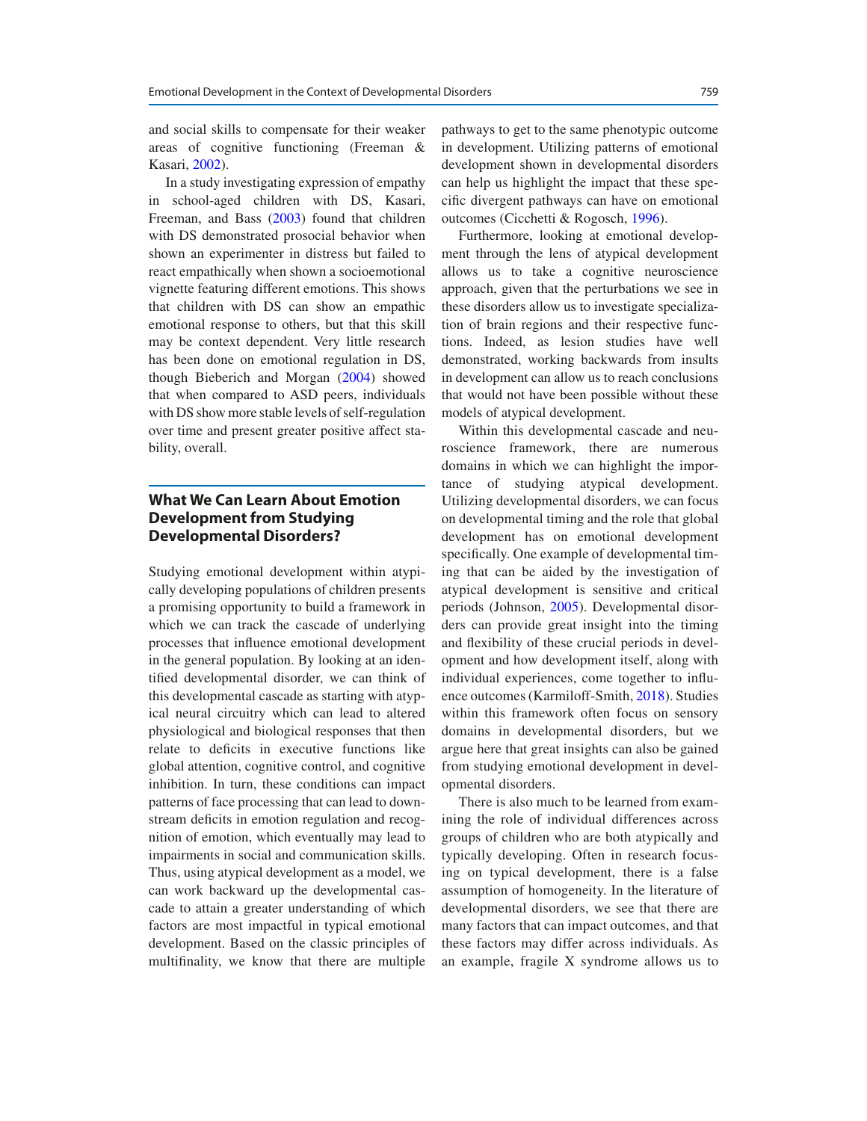and social skills to compensate for their weaker areas of cognitive functioning (Freeman & Kasari, 2002).

In a study investigating expression of empathy in school-aged children with DS, Kasari, Freeman, and Bass (2003) found that children with DS demonstrated prosocial behavior when shown an experimenter in distress but failed to react empathically when shown a socioemotional vignette featuring different emotions. This shows that children with DS can show an empathic emotional response to others, but that this skill may be context dependent. Very little research has been done on emotional regulation in DS, though Bieberich and Morgan (2004) showed that when compared to ASD peers, individuals with DS show more stable levels of self-regulation over time and present greater positive affect stability, overall.

# **What We Can Learn About Emotion Development from Studying Developmental Disorders?**

Studying emotional development within atypically developing populations of children presents a promising opportunity to build a framework in which we can track the cascade of underlying processes that infuence emotional development in the general population. By looking at an identifed developmental disorder, we can think of this developmental cascade as starting with atypical neural circuitry which can lead to altered physiological and biological responses that then relate to deficits in executive functions like global attention, cognitive control, and cognitive inhibition. In turn, these conditions can impact patterns of face processing that can lead to downstream deficits in emotion regulation and recognition of emotion, which eventually may lead to impairments in social and communication skills. Thus, using atypical development as a model, we can work backward up the developmental cascade to attain a greater understanding of which factors are most impactful in typical emotional development. Based on the classic principles of multifnality, we know that there are multiple

pathways to get to the same phenotypic outcome in development. Utilizing patterns of emotional development shown in developmental disorders can help us highlight the impact that these specifc divergent pathways can have on emotional outcomes (Cicchetti & Rogosch, 1996).

Furthermore, looking at emotional development through the lens of atypical development allows us to take a cognitive neuroscience approach, given that the perturbations we see in these disorders allow us to investigate specialization of brain regions and their respective functions. Indeed, as lesion studies have well demonstrated, working backwards from insults in development can allow us to reach conclusions that would not have been possible without these models of atypical development.

Within this developmental cascade and neuroscience framework, there are numerous domains in which we can highlight the importance of studying atypical development. Utilizing developmental disorders, we can focus on developmental timing and the role that global development has on emotional development specifcally. One example of developmental timing that can be aided by the investigation of atypical development is sensitive and critical periods (Johnson, 2005). Developmental disorders can provide great insight into the timing and fexibility of these crucial periods in development and how development itself, along with individual experiences, come together to infuence outcomes (Karmiloff-Smith, 2018). Studies within this framework often focus on sensory domains in developmental disorders, but we argue here that great insights can also be gained from studying emotional development in developmental disorders.

There is also much to be learned from examining the role of individual differences across groups of children who are both atypically and typically developing. Often in research focusing on typical development, there is a false assumption of homogeneity. In the literature of developmental disorders, we see that there are many factors that can impact outcomes, and that these factors may differ across individuals. As an example, fragile X syndrome allows us to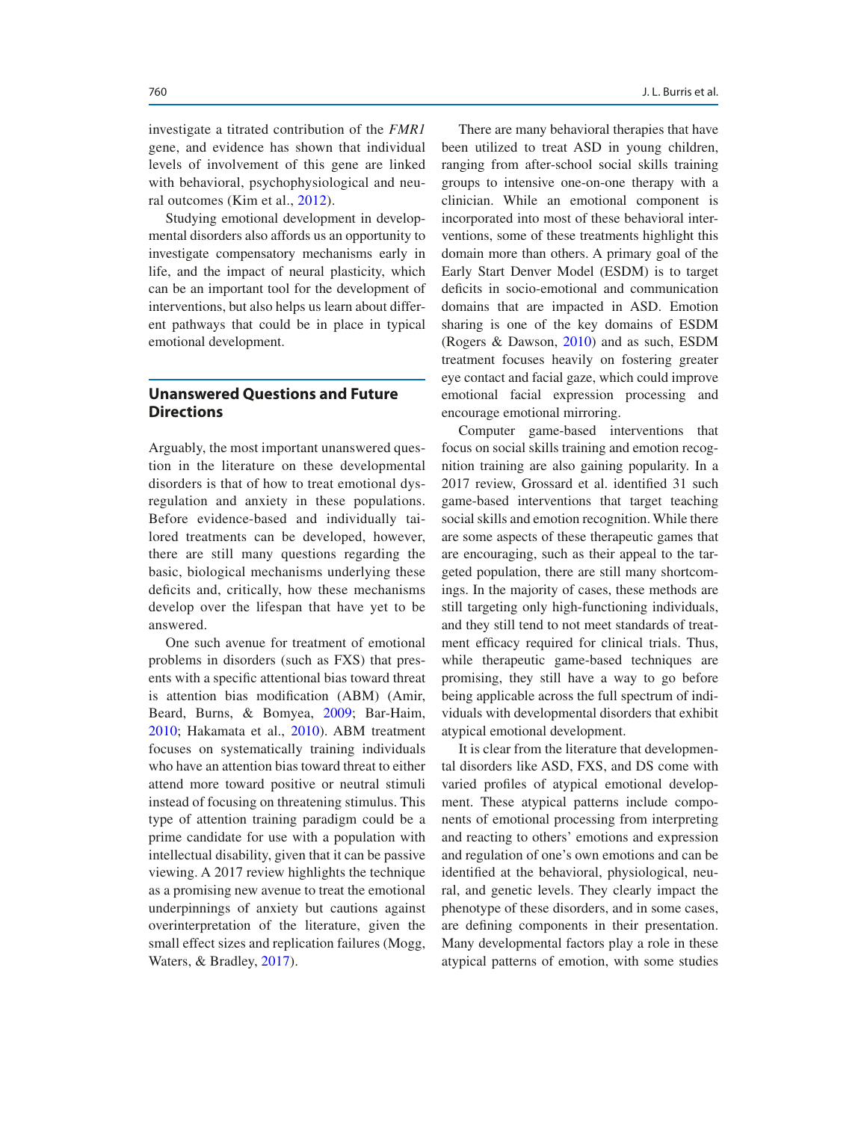investigate a titrated contribution of the *FMR1* gene, and evidence has shown that individual levels of involvement of this gene are linked with behavioral, psychophysiological and neural outcomes (Kim et al., 2012).

Studying emotional development in developmental disorders also affords us an opportunity to investigate compensatory mechanisms early in life, and the impact of neural plasticity, which can be an important tool for the development of interventions, but also helps us learn about different pathways that could be in place in typical emotional development.

# **Unanswered Questions and Future Directions**

Arguably, the most important unanswered question in the literature on these developmental disorders is that of how to treat emotional dysregulation and anxiety in these populations. Before evidence-based and individually tailored treatments can be developed, however, there are still many questions regarding the basic, biological mechanisms underlying these deficits and, critically, how these mechanisms develop over the lifespan that have yet to be answered.

One such avenue for treatment of emotional problems in disorders (such as FXS) that presents with a specifc attentional bias toward threat is attention bias modifcation (ABM) (Amir, Beard, Burns, & Bomyea, 2009; Bar-Haim, 2010; Hakamata et al., 2010). ABM treatment focuses on systematically training individuals who have an attention bias toward threat to either attend more toward positive or neutral stimuli instead of focusing on threatening stimulus. This type of attention training paradigm could be a prime candidate for use with a population with intellectual disability, given that it can be passive viewing. A 2017 review highlights the technique as a promising new avenue to treat the emotional underpinnings of anxiety but cautions against overinterpretation of the literature, given the small effect sizes and replication failures (Mogg, Waters, & Bradley, 2017).

There are many behavioral therapies that have been utilized to treat ASD in young children, ranging from after-school social skills training groups to intensive one-on-one therapy with a clinician. While an emotional component is incorporated into most of these behavioral interventions, some of these treatments highlight this domain more than others. A primary goal of the Early Start Denver Model (ESDM) is to target deficits in socio-emotional and communication domains that are impacted in ASD. Emotion sharing is one of the key domains of ESDM (Rogers & Dawson, 2010) and as such, ESDM treatment focuses heavily on fostering greater eye contact and facial gaze, which could improve emotional facial expression processing and encourage emotional mirroring.

Computer game-based interventions that focus on social skills training and emotion recognition training are also gaining popularity. In a 2017 review, Grossard et al. identifed 31 such game-based interventions that target teaching social skills and emotion recognition. While there are some aspects of these therapeutic games that are encouraging, such as their appeal to the targeted population, there are still many shortcomings. In the majority of cases, these methods are still targeting only high-functioning individuals, and they still tend to not meet standards of treatment efficacy required for clinical trials. Thus, while therapeutic game-based techniques are promising, they still have a way to go before being applicable across the full spectrum of individuals with developmental disorders that exhibit atypical emotional development.

It is clear from the literature that developmental disorders like ASD, FXS, and DS come with varied profles of atypical emotional development. These atypical patterns include components of emotional processing from interpreting and reacting to others' emotions and expression and regulation of one's own emotions and can be identifed at the behavioral, physiological, neural, and genetic levels. They clearly impact the phenotype of these disorders, and in some cases, are defning components in their presentation. Many developmental factors play a role in these atypical patterns of emotion, with some studies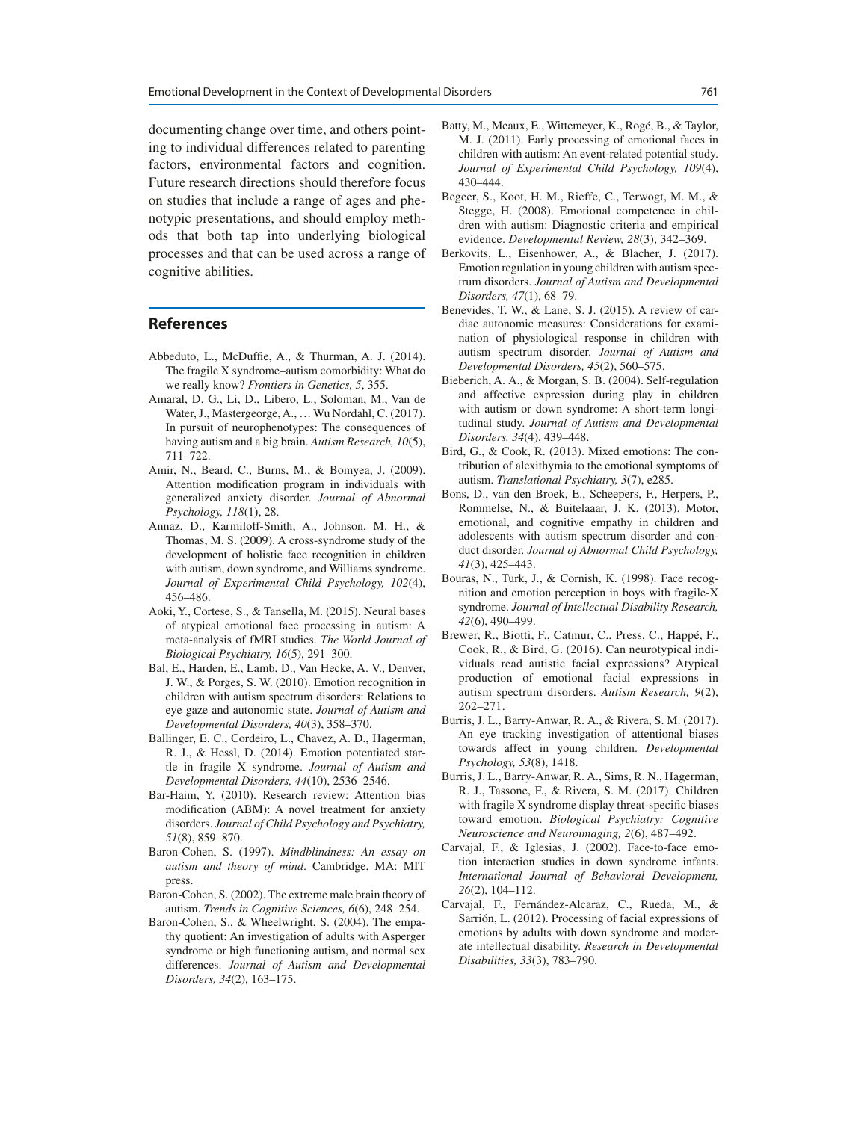documenting change over time, and others pointing to individual differences related to parenting factors, environmental factors and cognition. Future research directions should therefore focus on studies that include a range of ages and phenotypic presentations, and should employ methods that both tap into underlying biological processes and that can be used across a range of cognitive abilities.

#### **References**

- Abbeduto, L., McDuffe, A., & Thurman, A. J. (2014). The fragile X syndrome–autism comorbidity: What do we really know? *Frontiers in Genetics, 5*, 355.
- Amaral, D. G., Li, D., Libero, L., Soloman, M., Van de Water, J., Mastergeorge, A., … Wu Nordahl, C. (2017). In pursuit of neurophenotypes: The consequences of having autism and a big brain. *Autism Research, 10*(5), 711–722.
- Amir, N., Beard, C., Burns, M., & Bomyea, J. (2009). Attention modifcation program in individuals with generalized anxiety disorder. *Journal of Abnormal Psychology, 118*(1), 28.
- Annaz, D., Karmiloff-Smith, A., Johnson, M. H., & Thomas, M. S. (2009). A cross-syndrome study of the development of holistic face recognition in children with autism, down syndrome, and Williams syndrome. *Journal of Experimental Child Psychology, 102*(4), 456–486.
- Aoki, Y., Cortese, S., & Tansella, M. (2015). Neural bases of atypical emotional face processing in autism: A meta-analysis of fMRI studies. *The World Journal of Biological Psychiatry, 16*(5), 291–300.
- Bal, E., Harden, E., Lamb, D., Van Hecke, A. V., Denver, J. W., & Porges, S. W. (2010). Emotion recognition in children with autism spectrum disorders: Relations to eye gaze and autonomic state. *Journal of Autism and Developmental Disorders, 40*(3), 358–370.
- Ballinger, E. C., Cordeiro, L., Chavez, A. D., Hagerman, R. J., & Hessl, D. (2014). Emotion potentiated startle in fragile X syndrome. *Journal of Autism and Developmental Disorders, 44*(10), 2536–2546.
- Bar-Haim, Y. (2010). Research review: Attention bias modifcation (ABM): A novel treatment for anxiety disorders. *Journal of Child Psychology and Psychiatry, 51*(8), 859–870.
- Baron-Cohen, S. (1997). *Mindblindness: An essay on autism and theory of mind*. Cambridge, MA: MIT press.
- Baron-Cohen, S. (2002). The extreme male brain theory of autism. *Trends in Cognitive Sciences, 6*(6), 248–254.
- Baron-Cohen, S., & Wheelwright, S. (2004). The empathy quotient: An investigation of adults with Asperger syndrome or high functioning autism, and normal sex differences. *Journal of Autism and Developmental Disorders, 34*(2), 163–175.
- Batty, M., Meaux, E., Wittemeyer, K., Rogé, B., & Taylor, M. J. (2011). Early processing of emotional faces in children with autism: An event-related potential study. *Journal of Experimental Child Psychology, 109*(4), 430–444.
- Begeer, S., Koot, H. M., Rieffe, C., Terwogt, M. M., & Stegge, H. (2008). Emotional competence in children with autism: Diagnostic criteria and empirical evidence. *Developmental Review, 28*(3), 342–369.
- Berkovits, L., Eisenhower, A., & Blacher, J. (2017). Emotion regulation in young children with autism spectrum disorders. *Journal of Autism and Developmental Disorders, 47*(1), 68–79.
- Benevides, T. W., & Lane, S. J. (2015). A review of cardiac autonomic measures: Considerations for examination of physiological response in children with autism spectrum disorder. *Journal of Autism and Developmental Disorders, 45*(2), 560–575.
- Bieberich, A. A., & Morgan, S. B. (2004). Self-regulation and affective expression during play in children with autism or down syndrome: A short-term longitudinal study. *Journal of Autism and Developmental Disorders, 34*(4), 439–448.
- Bird, G., & Cook, R. (2013). Mixed emotions: The contribution of alexithymia to the emotional symptoms of autism. *Translational Psychiatry, 3*(7), e285.
- Bons, D., van den Broek, E., Scheepers, F., Herpers, P., Rommelse, N., & Buitelaaar, J. K. (2013). Motor, emotional, and cognitive empathy in children and adolescents with autism spectrum disorder and conduct disorder. *Journal of Abnormal Child Psychology, 41*(3), 425–443.
- Bouras, N., Turk, J., & Cornish, K. (1998). Face recognition and emotion perception in boys with fragile-X syndrome. *Journal of Intellectual Disability Research, 42*(6), 490–499.
- Brewer, R., Biotti, F., Catmur, C., Press, C., Happé, F., Cook, R., & Bird, G. (2016). Can neurotypical individuals read autistic facial expressions? Atypical production of emotional facial expressions in autism spectrum disorders. *Autism Research, 9*(2), 262–271.
- Burris, J. L., Barry-Anwar, R. A., & Rivera, S. M. (2017). An eye tracking investigation of attentional biases towards affect in young children. *Developmental Psychology, 53*(8), 1418.
- Burris, J. L., Barry-Anwar, R. A., Sims, R. N., Hagerman, R. J., Tassone, F., & Rivera, S. M. (2017). Children with fragile X syndrome display threat-specifc biases toward emotion. *Biological Psychiatry: Cognitive Neuroscience and Neuroimaging, 2*(6), 487–492.
- Carvajal, F., & Iglesias, J. (2002). Face-to-face emotion interaction studies in down syndrome infants. *International Journal of Behavioral Development, 26*(2), 104–112.
- Carvajal, F., Fernández-Alcaraz, C., Rueda, M., & Sarrión, L. (2012). Processing of facial expressions of emotions by adults with down syndrome and moderate intellectual disability. *Research in Developmental Disabilities, 33*(3), 783–790.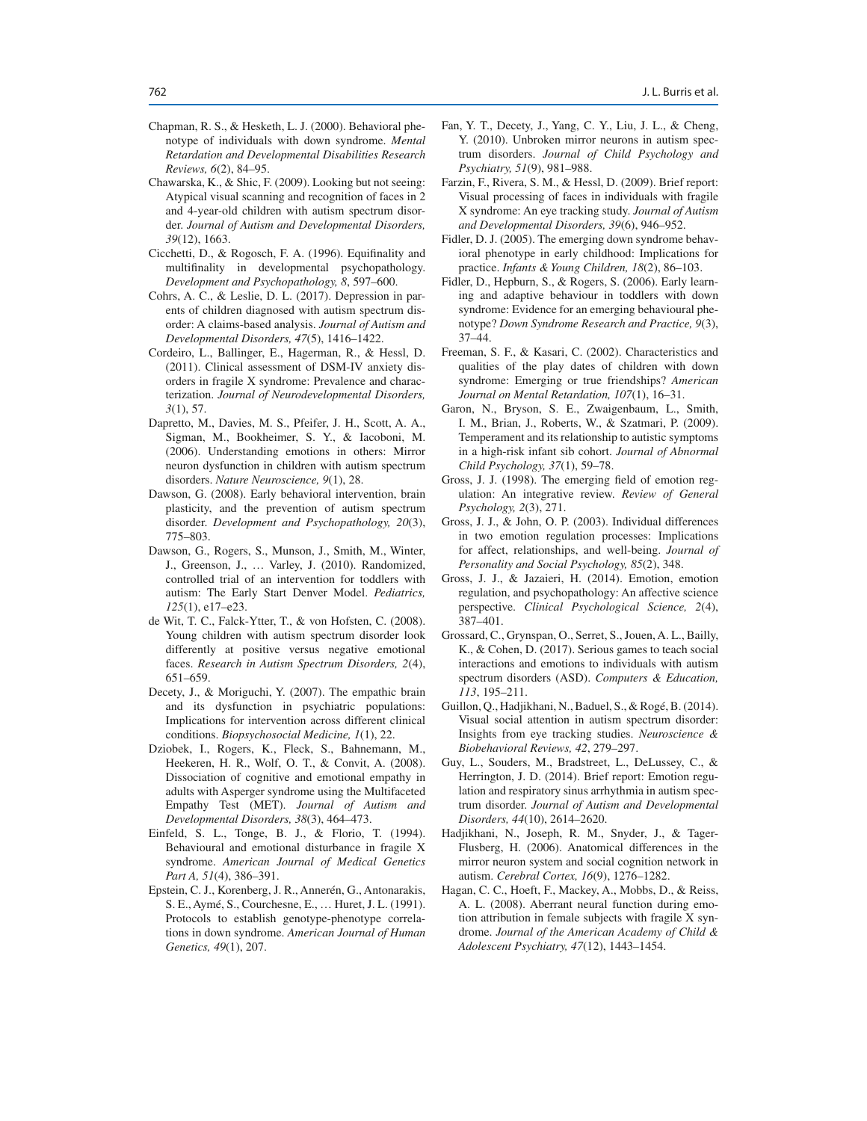- Chapman, R. S., & Hesketh, L. J. (2000). Behavioral phenotype of individuals with down syndrome. *Mental Retardation and Developmental Disabilities Research Reviews, 6*(2), 84–95.
- Chawarska, K., & Shic, F. (2009). Looking but not seeing: Atypical visual scanning and recognition of faces in 2 and 4-year-old children with autism spectrum disorder. *Journal of Autism and Developmental Disorders, 39*(12), 1663.
- Cicchetti, D., & Rogosch, F. A. (1996). Equifnality and multifnality in developmental psychopathology. *Development and Psychopathology, 8*, 597–600.
- Cohrs, A. C., & Leslie, D. L. (2017). Depression in parents of children diagnosed with autism spectrum disorder: A claims-based analysis. *Journal of Autism and Developmental Disorders, 47*(5), 1416–1422.
- Cordeiro, L., Ballinger, E., Hagerman, R., & Hessl, D. (2011). Clinical assessment of DSM-IV anxiety disorders in fragile X syndrome: Prevalence and characterization. *Journal of Neurodevelopmental Disorders, 3*(1), 57.
- Dapretto, M., Davies, M. S., Pfeifer, J. H., Scott, A. A., Sigman, M., Bookheimer, S. Y., & Iacoboni, M. (2006). Understanding emotions in others: Mirror neuron dysfunction in children with autism spectrum disorders. *Nature Neuroscience, 9*(1), 28.
- Dawson, G. (2008). Early behavioral intervention, brain plasticity, and the prevention of autism spectrum disorder. *Development and Psychopathology, 20*(3), 775–803.
- Dawson, G., Rogers, S., Munson, J., Smith, M., Winter, J., Greenson, J., … Varley, J. (2010). Randomized, controlled trial of an intervention for toddlers with autism: The Early Start Denver Model. *Pediatrics, 125*(1), e17–e23.
- de Wit, T. C., Falck-Ytter, T., & von Hofsten, C. (2008). Young children with autism spectrum disorder look differently at positive versus negative emotional faces. *Research in Autism Spectrum Disorders, 2*(4), 651–659.
- Decety, J., & Moriguchi, Y. (2007). The empathic brain and its dysfunction in psychiatric populations: Implications for intervention across different clinical conditions. *Biopsychosocial Medicine, 1*(1), 22.
- Dziobek, I., Rogers, K., Fleck, S., Bahnemann, M., Heekeren, H. R., Wolf, O. T., & Convit, A. (2008). Dissociation of cognitive and emotional empathy in adults with Asperger syndrome using the Multifaceted Empathy Test (MET). *Journal of Autism and Developmental Disorders, 38*(3), 464–473.
- Einfeld, S. L., Tonge, B. J., & Florio, T. (1994). Behavioural and emotional disturbance in fragile X syndrome. *American Journal of Medical Genetics Part A, 51*(4), 386–391.
- Epstein, C. J., Korenberg, J. R., Annerén, G., Antonarakis, S. E., Aymé, S., Courchesne, E., … Huret, J. L. (1991). Protocols to establish genotype-phenotype correlations in down syndrome. *American Journal of Human Genetics, 49*(1), 207.
- Fan, Y. T., Decety, J., Yang, C. Y., Liu, J. L., & Cheng, Y. (2010). Unbroken mirror neurons in autism spectrum disorders. *Journal of Child Psychology and Psychiatry, 51*(9), 981–988.
- Farzin, F., Rivera, S. M., & Hessl, D. (2009). Brief report: Visual processing of faces in individuals with fragile X syndrome: An eye tracking study. *Journal of Autism and Developmental Disorders, 39*(6), 946–952.
- Fidler, D. J. (2005). The emerging down syndrome behavioral phenotype in early childhood: Implications for practice. *Infants & Young Children, 18*(2), 86–103.
- Fidler, D., Hepburn, S., & Rogers, S. (2006). Early learning and adaptive behaviour in toddlers with down syndrome: Evidence for an emerging behavioural phenotype? *Down Syndrome Research and Practice, 9*(3), 37–44.
- Freeman, S. F., & Kasari, C. (2002). Characteristics and qualities of the play dates of children with down syndrome: Emerging or true friendships? *American Journal on Mental Retardation, 107*(1), 16–31.
- Garon, N., Bryson, S. E., Zwaigenbaum, L., Smith, I. M., Brian, J., Roberts, W., & Szatmari, P. (2009). Temperament and its relationship to autistic symptoms in a high-risk infant sib cohort. *Journal of Abnormal Child Psychology, 37*(1), 59–78.
- Gross, J. J. (1998). The emerging feld of emotion regulation: An integrative review. *Review of General Psychology, 2*(3), 271.
- Gross, J. J., & John, O. P. (2003). Individual differences in two emotion regulation processes: Implications for affect, relationships, and well-being. *Journal of Personality and Social Psychology, 85*(2), 348.
- Gross, J. J., & Jazaieri, H. (2014). Emotion, emotion regulation, and psychopathology: An affective science perspective. *Clinical Psychological Science, 2*(4), 387–401.
- Grossard, C., Grynspan, O., Serret, S., Jouen, A. L., Bailly, K., & Cohen, D. (2017). Serious games to teach social interactions and emotions to individuals with autism spectrum disorders (ASD). *Computers & Education, 113*, 195–211.
- Guillon, Q., Hadjikhani, N., Baduel, S., & Rogé, B. (2014). Visual social attention in autism spectrum disorder: Insights from eye tracking studies. *Neuroscience & Biobehavioral Reviews, 42*, 279–297.
- Guy, L., Souders, M., Bradstreet, L., DeLussey, C., & Herrington, J. D. (2014). Brief report: Emotion regulation and respiratory sinus arrhythmia in autism spectrum disorder. *Journal of Autism and Developmental Disorders, 44*(10), 2614–2620.
- Hadjikhani, N., Joseph, R. M., Snyder, J., & Tager-Flusberg, H. (2006). Anatomical differences in the mirror neuron system and social cognition network in autism. *Cerebral Cortex, 16*(9), 1276–1282.
- Hagan, C. C., Hoeft, F., Mackey, A., Mobbs, D., & Reiss, A. L. (2008). Aberrant neural function during emotion attribution in female subjects with fragile X syndrome. *Journal of the American Academy of Child & Adolescent Psychiatry, 47*(12), 1443–1454.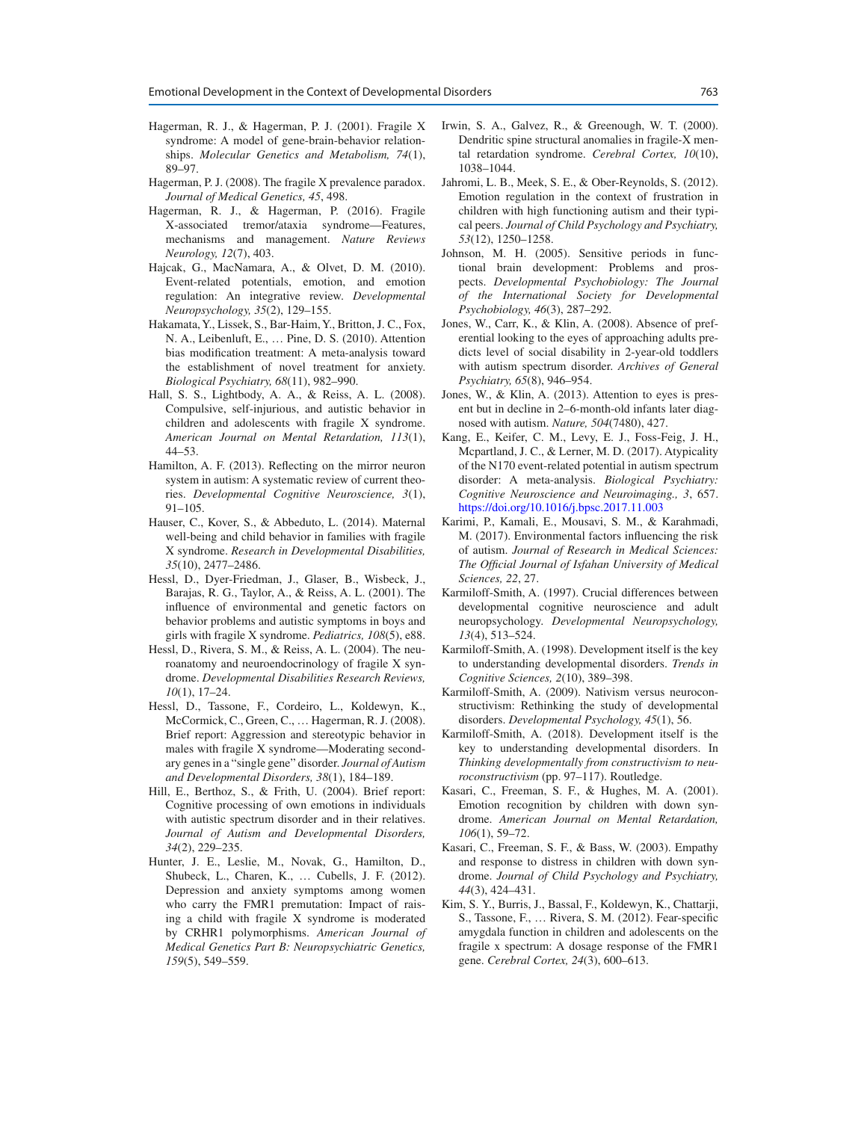- Hagerman, R. J., & Hagerman, P. J. (2001). Fragile X syndrome: A model of gene-brain-behavior relationships. *Molecular Genetics and Metabolism, 74*(1), 89–97.
- Hagerman, P. J. (2008). The fragile X prevalence paradox. *Journal of Medical Genetics, 45*, 498.
- Hagerman, R. J., & Hagerman, P. (2016). Fragile X-associated tremor/ataxia syndrome—Features, mechanisms and management. *Nature Reviews Neurology, 12*(7), 403.
- Hajcak, G., MacNamara, A., & Olvet, D. M. (2010). Event-related potentials, emotion, and emotion regulation: An integrative review. *Developmental Neuropsychology, 35*(2), 129–155.
- Hakamata, Y., Lissek, S., Bar-Haim, Y., Britton, J. C., Fox, N. A., Leibenluft, E., … Pine, D. S. (2010). Attention bias modifcation treatment: A meta-analysis toward the establishment of novel treatment for anxiety. *Biological Psychiatry, 68*(11), 982–990.
- Hall, S. S., Lightbody, A. A., & Reiss, A. L. (2008). Compulsive, self-injurious, and autistic behavior in children and adolescents with fragile X syndrome. *American Journal on Mental Retardation, 113*(1), 44–53.
- Hamilton, A. F. (2013). Refecting on the mirror neuron system in autism: A systematic review of current theories. *Developmental Cognitive Neuroscience, 3*(1), 91–105.
- Hauser, C., Kover, S., & Abbeduto, L. (2014). Maternal well-being and child behavior in families with fragile X syndrome. *Research in Developmental Disabilities, 35*(10), 2477–2486.
- Hessl, D., Dyer-Friedman, J., Glaser, B., Wisbeck, J., Barajas, R. G., Taylor, A., & Reiss, A. L. (2001). The infuence of environmental and genetic factors on behavior problems and autistic symptoms in boys and girls with fragile X syndrome. *Pediatrics, 108*(5), e88.
- Hessl, D., Rivera, S. M., & Reiss, A. L. (2004). The neuroanatomy and neuroendocrinology of fragile X syndrome. *Developmental Disabilities Research Reviews, 10*(1), 17–24.
- Hessl, D., Tassone, F., Cordeiro, L., Koldewyn, K., McCormick, C., Green, C., … Hagerman, R. J. (2008). Brief report: Aggression and stereotypic behavior in males with fragile X syndrome—Moderating secondary genes in a "single gene" disorder. *Journal of Autism and Developmental Disorders, 38*(1), 184–189.
- Hill, E., Berthoz, S., & Frith, U. (2004). Brief report: Cognitive processing of own emotions in individuals with autistic spectrum disorder and in their relatives. *Journal of Autism and Developmental Disorders, 34*(2), 229–235.
- Hunter, J. E., Leslie, M., Novak, G., Hamilton, D., Shubeck, L., Charen, K., … Cubells, J. F. (2012). Depression and anxiety symptoms among women who carry the FMR1 premutation: Impact of raising a child with fragile X syndrome is moderated by CRHR1 polymorphisms. *American Journal of Medical Genetics Part B: Neuropsychiatric Genetics, 159*(5), 549–559.
- Irwin, S. A., Galvez, R., & Greenough, W. T. (2000). Dendritic spine structural anomalies in fragile-X mental retardation syndrome. *Cerebral Cortex, 10*(10), 1038–1044.
- Jahromi, L. B., Meek, S. E., & Ober-Reynolds, S. (2012). Emotion regulation in the context of frustration in children with high functioning autism and their typical peers. *Journal of Child Psychology and Psychiatry, 53*(12), 1250–1258.
- Johnson, M. H. (2005). Sensitive periods in functional brain development: Problems and prospects. *Developmental Psychobiology: The Journal of the International Society for Developmental Psychobiology, 46*(3), 287–292.
- Jones, W., Carr, K., & Klin, A. (2008). Absence of preferential looking to the eyes of approaching adults predicts level of social disability in 2-year-old toddlers with autism spectrum disorder. *Archives of General Psychiatry, 65*(8), 946–954.
- Jones, W., & Klin, A. (2013). Attention to eyes is present but in decline in 2–6-month-old infants later diagnosed with autism. *Nature, 504*(7480), 427.
- Kang, E., Keifer, C. M., Levy, E. J., Foss-Feig, J. H., Mcpartland, J. C., & Lerner, M. D. (2017). Atypicality of the N170 event-related potential in autism spectrum disorder: A meta-analysis. *Biological Psychiatry: Cognitive Neuroscience and Neuroimaging., 3*, 657. <https://doi.org/10.1016/j.bpsc.2017.11.003>
- Karimi, P., Kamali, E., Mousavi, S. M., & Karahmadi, M. (2017). Environmental factors infuencing the risk of autism. *Journal of Research in Medical Sciences: The Offcial Journal of Isfahan University of Medical Sciences, 22*, 27.
- Karmiloff-Smith, A. (1997). Crucial differences between developmental cognitive neuroscience and adult neuropsychology. *Developmental Neuropsychology, 13*(4), 513–524.
- Karmiloff-Smith, A. (1998). Development itself is the key to understanding developmental disorders. *Trends in Cognitive Sciences, 2*(10), 389–398.
- Karmiloff-Smith, A. (2009). Nativism versus neuroconstructivism: Rethinking the study of developmental disorders. *Developmental Psychology, 45*(1), 56.
- Karmiloff-Smith, A. (2018). Development itself is the key to understanding developmental disorders. In *Thinking developmentally from constructivism to neuroconstructivism* (pp. 97–117). Routledge.
- Kasari, C., Freeman, S. F., & Hughes, M. A. (2001). Emotion recognition by children with down syndrome. *American Journal on Mental Retardation, 106*(1), 59–72.
- Kasari, C., Freeman, S. F., & Bass, W. (2003). Empathy and response to distress in children with down syndrome. *Journal of Child Psychology and Psychiatry, 44*(3), 424–431.
- Kim, S. Y., Burris, J., Bassal, F., Koldewyn, K., Chattarji, S., Tassone, F., … Rivera, S. M. (2012). Fear-specifc amygdala function in children and adolescents on the fragile x spectrum: A dosage response of the FMR1 gene. *Cerebral Cortex, 24*(3), 600–613.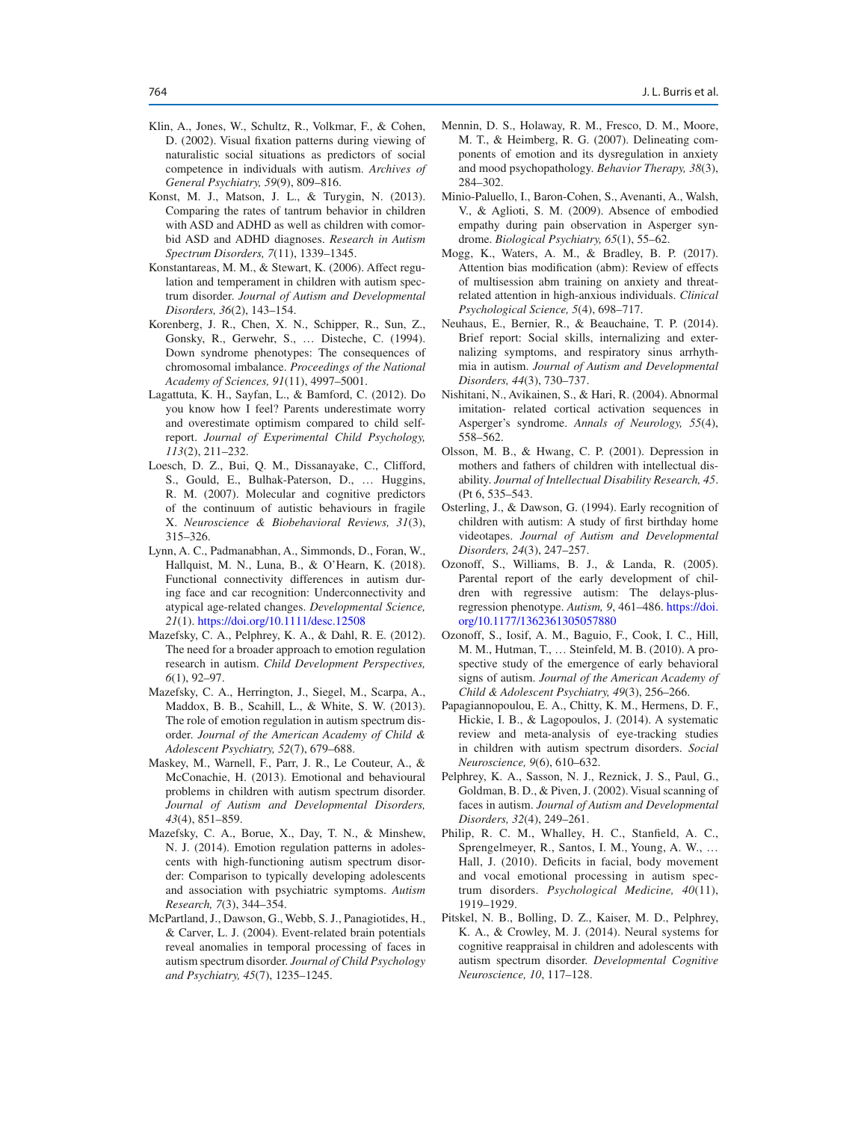- Klin, A., Jones, W., Schultz, R., Volkmar, F., & Cohen, D. (2002). Visual fxation patterns during viewing of naturalistic social situations as predictors of social competence in individuals with autism. *Archives of General Psychiatry, 59*(9), 809–816.
- Konst, M. J., Matson, J. L., & Turygin, N. (2013). Comparing the rates of tantrum behavior in children with ASD and ADHD as well as children with comorbid ASD and ADHD diagnoses. *Research in Autism Spectrum Disorders, 7*(11), 1339–1345.
- Konstantareas, M. M., & Stewart, K. (2006). Affect regulation and temperament in children with autism spectrum disorder. *Journal of Autism and Developmental Disorders, 36*(2), 143–154.
- Korenberg, J. R., Chen, X. N., Schipper, R., Sun, Z., Gonsky, R., Gerwehr, S., … Disteche, C. (1994). Down syndrome phenotypes: The consequences of chromosomal imbalance. *Proceedings of the National Academy of Sciences, 91*(11), 4997–5001.
- Lagattuta, K. H., Sayfan, L., & Bamford, C. (2012). Do you know how I feel? Parents underestimate worry and overestimate optimism compared to child selfreport. *Journal of Experimental Child Psychology, 113*(2), 211–232.
- Loesch, D. Z., Bui, Q. M., Dissanayake, C., Clifford, S., Gould, E., Bulhak-Paterson, D., … Huggins, R. M. (2007). Molecular and cognitive predictors of the continuum of autistic behaviours in fragile X. *Neuroscience & Biobehavioral Reviews, 31*(3), 315–326.
- Lynn, A. C., Padmanabhan, A., Simmonds, D., Foran, W., Hallquist, M. N., Luna, B., & O'Hearn, K. (2018). Functional connectivity differences in autism during face and car recognition: Underconnectivity and atypical age-related changes. *Developmental Science, 21*(1). <https://doi.org/10.1111/desc.12508>
- Mazefsky, C. A., Pelphrey, K. A., & Dahl, R. E. (2012). The need for a broader approach to emotion regulation research in autism. *Child Development Perspectives, 6*(1), 92–97.
- Mazefsky, C. A., Herrington, J., Siegel, M., Scarpa, A., Maddox, B. B., Scahill, L., & White, S. W. (2013). The role of emotion regulation in autism spectrum disorder. *Journal of the American Academy of Child & Adolescent Psychiatry, 52*(7), 679–688.
- Maskey, M., Warnell, F., Parr, J. R., Le Couteur, A., & McConachie, H. (2013). Emotional and behavioural problems in children with autism spectrum disorder. *Journal of Autism and Developmental Disorders, 43*(4), 851–859.
- Mazefsky, C. A., Borue, X., Day, T. N., & Minshew, N. J. (2014). Emotion regulation patterns in adolescents with high-functioning autism spectrum disorder: Comparison to typically developing adolescents and association with psychiatric symptoms. *Autism Research, 7*(3), 344–354.
- McPartland, J., Dawson, G., Webb, S. J., Panagiotides, H., & Carver, L. J. (2004). Event-related brain potentials reveal anomalies in temporal processing of faces in autism spectrum disorder. *Journal of Child Psychology and Psychiatry, 45*(7), 1235–1245.
- Mennin, D. S., Holaway, R. M., Fresco, D. M., Moore, M. T., & Heimberg, R. G. (2007). Delineating components of emotion and its dysregulation in anxiety and mood psychopathology. *Behavior Therapy, 38*(3), 284–302.
- Minio-Paluello, I., Baron-Cohen, S., Avenanti, A., Walsh, V., & Aglioti, S. M. (2009). Absence of embodied empathy during pain observation in Asperger syndrome. *Biological Psychiatry, 65*(1), 55–62.
- Mogg, K., Waters, A. M., & Bradley, B. P. (2017). Attention bias modifcation (abm): Review of effects of multisession abm training on anxiety and threatrelated attention in high-anxious individuals. *Clinical Psychological Science, 5*(4), 698–717.
- Neuhaus, E., Bernier, R., & Beauchaine, T. P. (2014). Brief report: Social skills, internalizing and externalizing symptoms, and respiratory sinus arrhythmia in autism. *Journal of Autism and Developmental Disorders, 44*(3), 730–737.
- Nishitani, N., Avikainen, S., & Hari, R. (2004). Abnormal imitation- related cortical activation sequences in Asperger's syndrome. *Annals of Neurology, 55*(4), 558–562.
- Olsson, M. B., & Hwang, C. P. (2001). Depression in mothers and fathers of children with intellectual disability. *Journal of Intellectual Disability Research, 45*. (Pt 6, 535–543.
- Osterling, J., & Dawson, G. (1994). Early recognition of children with autism: A study of frst birthday home videotapes. *Journal of Autism and Developmental Disorders, 24*(3), 247–257.
- Ozonoff, S., Williams, B. J., & Landa, R. (2005). Parental report of the early development of children with regressive autism: The delays-plusregression phenotype. *Autism, 9*, 461–486. [https://doi.](https://doi.org/10.1177/1362361305057880) [org/10.1177/1362361305057880](https://doi.org/10.1177/1362361305057880)
- Ozonoff, S., Iosif, A. M., Baguio, F., Cook, I. C., Hill, M. M., Hutman, T., … Steinfeld, M. B. (2010). A prospective study of the emergence of early behavioral signs of autism. *Journal of the American Academy of Child & Adolescent Psychiatry, 49*(3), 256–266.
- Papagiannopoulou, E. A., Chitty, K. M., Hermens, D. F., Hickie, I. B., & Lagopoulos, J. (2014). A systematic review and meta-analysis of eye-tracking studies in children with autism spectrum disorders. *Social Neuroscience, 9*(6), 610–632.
- Pelphrey, K. A., Sasson, N. J., Reznick, J. S., Paul, G., Goldman, B. D., & Piven, J. (2002). Visual scanning of faces in autism. *Journal of Autism and Developmental Disorders, 32*(4), 249–261.
- Philip, R. C. M., Whalley, H. C., Stanfeld, A. C., Sprengelmeyer, R., Santos, I. M., Young, A. W., … Hall, J. (2010). Deficits in facial, body movement and vocal emotional processing in autism spectrum disorders. *Psychological Medicine, 40*(11), 1919–1929.
- Pitskel, N. B., Bolling, D. Z., Kaiser, M. D., Pelphrey, K. A., & Crowley, M. J. (2014). Neural systems for cognitive reappraisal in children and adolescents with autism spectrum disorder. *Developmental Cognitive Neuroscience, 10*, 117–128.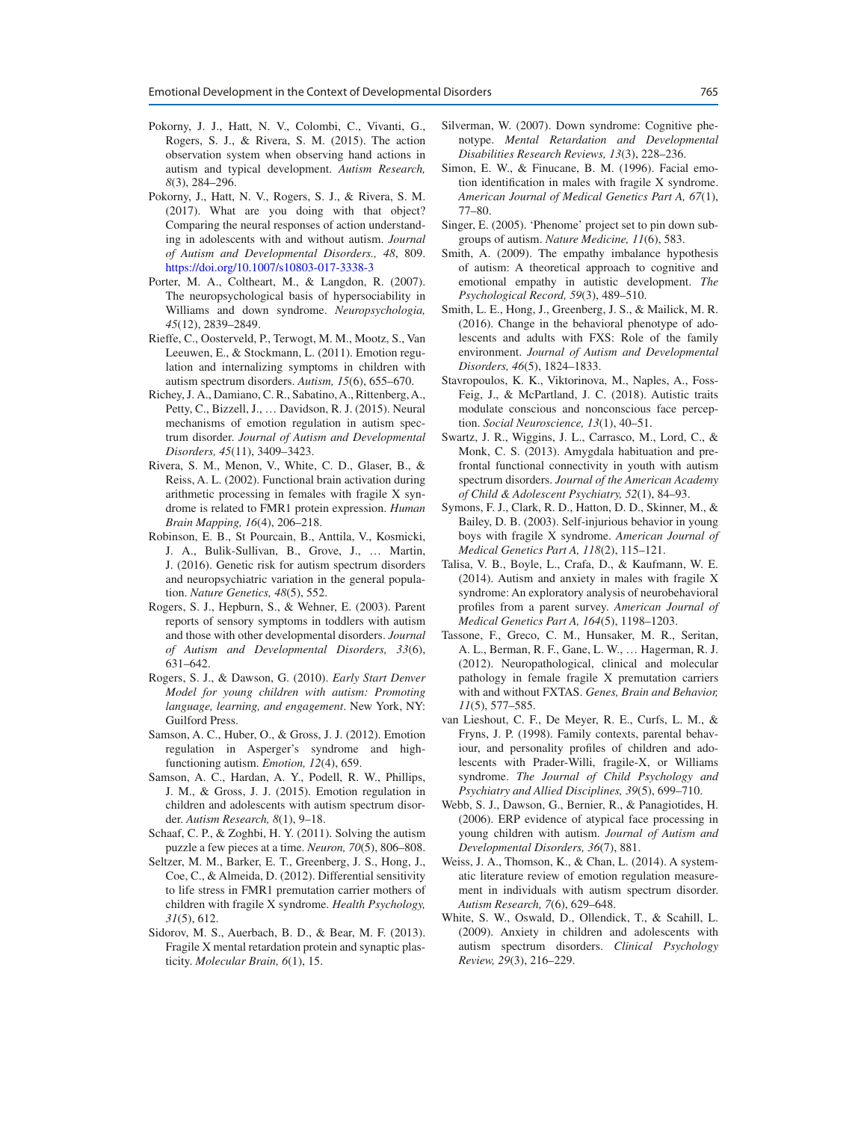- Pokorny, J. J., Hatt, N. V., Colombi, C., Vivanti, G., Rogers, S. J., & Rivera, S. M. (2015). The action observation system when observing hand actions in autism and typical development. *Autism Research, 8*(3), 284–296.
- Pokorny, J., Hatt, N. V., Rogers, S. J., & Rivera, S. M. (2017). What are you doing with that object? Comparing the neural responses of action understanding in adolescents with and without autism. *Journal of Autism and Developmental Disorders., 48*, 809. <https://doi.org/10.1007/s10803-017-3338-3>
- Porter, M. A., Coltheart, M., & Langdon, R. (2007). The neuropsychological basis of hypersociability in Williams and down syndrome. *Neuropsychologia, 45*(12), 2839–2849.
- Rieffe, C., Oosterveld, P., Terwogt, M. M., Mootz, S., Van Leeuwen, E., & Stockmann, L. (2011). Emotion regulation and internalizing symptoms in children with autism spectrum disorders. *Autism, 15*(6), 655–670.
- Richey, J. A., Damiano, C. R., Sabatino, A., Rittenberg, A., Petty, C., Bizzell, J., … Davidson, R. J. (2015). Neural mechanisms of emotion regulation in autism spectrum disorder. *Journal of Autism and Developmental Disorders, 45*(11), 3409–3423.
- Rivera, S. M., Menon, V., White, C. D., Glaser, B., & Reiss, A. L. (2002). Functional brain activation during arithmetic processing in females with fragile X syndrome is related to FMR1 protein expression. *Human Brain Mapping, 16*(4), 206–218.
- Robinson, E. B., St Pourcain, B., Anttila, V., Kosmicki, J. A., Bulik-Sullivan, B., Grove, J., … Martin, J. (2016). Genetic risk for autism spectrum disorders and neuropsychiatric variation in the general population. *Nature Genetics, 48*(5), 552.
- Rogers, S. J., Hepburn, S., & Wehner, E. (2003). Parent reports of sensory symptoms in toddlers with autism and those with other developmental disorders. *Journal of Autism and Developmental Disorders, 33*(6), 631–642.
- Rogers, S. J., & Dawson, G. (2010). *Early Start Denver Model for young children with autism: Promoting language, learning, and engagement*. New York, NY: Guilford Press.
- Samson, A. C., Huber, O., & Gross, J. J. (2012). Emotion regulation in Asperger's syndrome and highfunctioning autism. *Emotion, 12*(4), 659.
- Samson, A. C., Hardan, A. Y., Podell, R. W., Phillips, J. M., & Gross, J. J. (2015). Emotion regulation in children and adolescents with autism spectrum disorder. *Autism Research, 8*(1), 9–18.
- Schaaf, C. P., & Zoghbi, H. Y. (2011). Solving the autism puzzle a few pieces at a time. *Neuron, 70*(5), 806–808.
- Seltzer, M. M., Barker, E. T., Greenberg, J. S., Hong, J., Coe, C., & Almeida, D. (2012). Differential sensitivity to life stress in FMR1 premutation carrier mothers of children with fragile X syndrome. *Health Psychology, 31*(5), 612.
- Sidorov, M. S., Auerbach, B. D., & Bear, M. F. (2013). Fragile X mental retardation protein and synaptic plasticity. *Molecular Brain, 6*(1), 15.
- Silverman, W. (2007). Down syndrome: Cognitive phenotype. *Mental Retardation and Developmental Disabilities Research Reviews, 13*(3), 228–236.
- Simon, E. W., & Finucane, B. M. (1996). Facial emotion identifcation in males with fragile X syndrome. *American Journal of Medical Genetics Part A, 67*(1), 77–80.
- Singer, E. (2005). 'Phenome' project set to pin down subgroups of autism. *Nature Medicine, 11*(6), 583.
- Smith, A. (2009). The empathy imbalance hypothesis of autism: A theoretical approach to cognitive and emotional empathy in autistic development. *The Psychological Record, 59*(3), 489–510.
- Smith, L. E., Hong, J., Greenberg, J. S., & Mailick, M. R. (2016). Change in the behavioral phenotype of adolescents and adults with FXS: Role of the family environment. *Journal of Autism and Developmental Disorders, 46*(5), 1824–1833.
- Stavropoulos, K. K., Viktorinova, M., Naples, A., Foss-Feig, J., & McPartland, J. C. (2018). Autistic traits modulate conscious and nonconscious face perception. *Social Neuroscience, 13*(1), 40–51.
- Swartz, J. R., Wiggins, J. L., Carrasco, M., Lord, C., & Monk, C. S. (2013). Amygdala habituation and prefrontal functional connectivity in youth with autism spectrum disorders. *Journal of the American Academy of Child & Adolescent Psychiatry, 52*(1), 84–93.
- Symons, F. J., Clark, R. D., Hatton, D. D., Skinner, M., & Bailey, D. B. (2003). Self-injurious behavior in young boys with fragile X syndrome. *American Journal of Medical Genetics Part A, 118*(2), 115–121.
- Talisa, V. B., Boyle, L., Crafa, D., & Kaufmann, W. E. (2014). Autism and anxiety in males with fragile X syndrome: An exploratory analysis of neurobehavioral profles from a parent survey. *American Journal of Medical Genetics Part A, 164*(5), 1198–1203.
- Tassone, F., Greco, C. M., Hunsaker, M. R., Seritan, A. L., Berman, R. F., Gane, L. W., … Hagerman, R. J. (2012). Neuropathological, clinical and molecular pathology in female fragile X premutation carriers with and without FXTAS. *Genes, Brain and Behavior, 11*(5), 577–585.
- van Lieshout, C. F., De Meyer, R. E., Curfs, L. M., & Fryns, J. P. (1998). Family contexts, parental behaviour, and personality profles of children and adolescents with Prader-Willi, fragile-X, or Williams syndrome. *The Journal of Child Psychology and Psychiatry and Allied Disciplines, 39*(5), 699–710.
- Webb, S. J., Dawson, G., Bernier, R., & Panagiotides, H. (2006). ERP evidence of atypical face processing in young children with autism. *Journal of Autism and Developmental Disorders, 36*(7), 881.
- Weiss, J. A., Thomson, K., & Chan, L. (2014). A systematic literature review of emotion regulation measurement in individuals with autism spectrum disorder. *Autism Research, 7*(6), 629–648.
- White, S. W., Oswald, D., Ollendick, T., & Scahill, L. (2009). Anxiety in children and adolescents with autism spectrum disorders. *Clinical Psychology Review, 29*(3), 216–229.